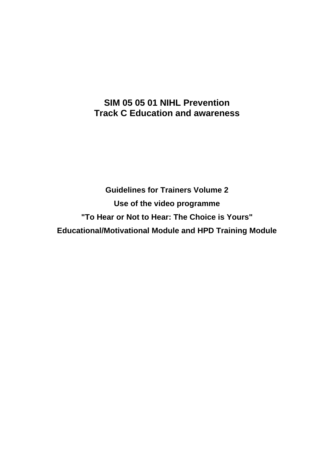# **SIM 05 05 01 NIHL Prevention Track C Education and awareness**

**Guidelines for Trainers Volume 2 Use of the video programme "To Hear or Not to Hear: The Choice is Yours" Educational/Motivational Module and HPD Training Module**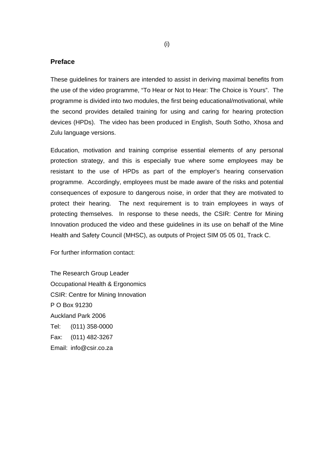#### **Preface**

These guidelines for trainers are intended to assist in deriving maximal benefits from the use of the video programme, "To Hear or Not to Hear: The Choice is Yours". The programme is divided into two modules, the first being educational/motivational, while the second provides detailed training for using and caring for hearing protection devices (HPDs). The video has been produced in English, South Sotho, Xhosa and Zulu language versions.

Education, motivation and training comprise essential elements of any personal protection strategy, and this is especially true where some employees may be resistant to the use of HPDs as part of the employer's hearing conservation programme. Accordingly, employees must be made aware of the risks and potential consequences of exposure to dangerous noise, in order that they are motivated to protect their hearing. The next requirement is to train employees in ways of protecting themselves. In response to these needs, the CSIR: Centre for Mining Innovation produced the video and these guidelines in its use on behalf of the Mine Health and Safety Council (MHSC), as outputs of Project SIM 05 05 01, Track C.

For further information contact:

The Research Group Leader Occupational Health & Ergonomics CSIR: Centre for Mining Innovation P O Box 91230 Auckland Park 2006 Tel: (011) 358-0000 Fax: (011) 482-3267 Email: info@csir.co.za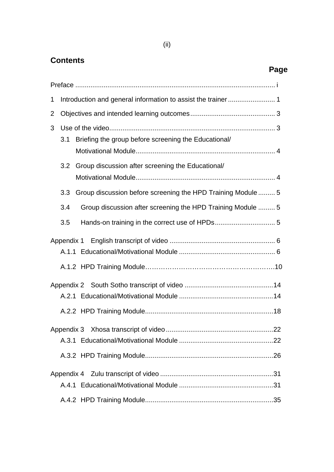# **Contents**

|   | Page                                                                |  |
|---|---------------------------------------------------------------------|--|
|   |                                                                     |  |
| 1 | Introduction and general information to assist the trainer  1       |  |
| 2 |                                                                     |  |
| 3 |                                                                     |  |
|   | Briefing the group before screening the Educational/<br>3.1         |  |
|   | 3.2<br>Group discussion after screening the Educational/            |  |
|   |                                                                     |  |
|   | Group discussion before screening the HPD Training Module  5<br>3.3 |  |
|   | Group discussion after screening the HPD Training Module  5<br>3.4  |  |
|   | 3.5                                                                 |  |
|   |                                                                     |  |
|   |                                                                     |  |
|   |                                                                     |  |
|   |                                                                     |  |
|   |                                                                     |  |
|   |                                                                     |  |
|   |                                                                     |  |
|   |                                                                     |  |
|   |                                                                     |  |
|   |                                                                     |  |
|   |                                                                     |  |
|   |                                                                     |  |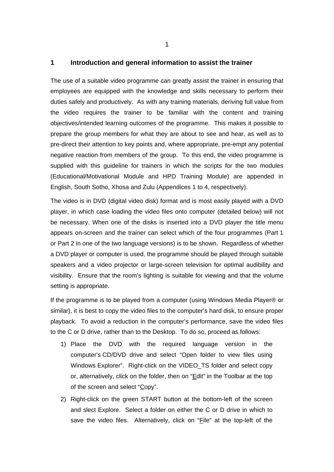### **1 Introduction and general information to assist the trainer**

The use of a suitable video programme can greatly assist the trainer in ensuring that employees are equipped with the knowledge and skills necessary to perform their duties safely and productively. As with any training materials, deriving full value from the video requires the trainer to be familiar with the content and training objectives/intended learning outcomes of the programme. This makes it possible to prepare the group members for what they are about to see and hear, as well as to pre-direct their attention to key points and, where appropriate, pre-empt any potential negative reaction from members of the group. To this end, the video programme is supplied with this guideline for trainers in which the scripts for the two modules (Educational/Motivational Module and HPD Training Module) are appended in English, South Sotho, Xhosa and Zulu (Appendices 1 to 4, respectively).

The video is in DVD (digital video disk) format and is most easily played with a DVD player, in which case loading the video files onto computer (detailed below) will not be necessary. When one of the disks is inserted into a DVD player the title menu appears on-screen and the trainer can select which of the four programmes (Part 1 or Part 2 in one of the two language versions) is to be shown. Regardless of whether a DVD player or computer is used, the programme should be played through suitable speakers and a video projector or large-screen television for optimal audibility and visibility. Ensure that the room's lighting is suitable for viewing and that the volume setting is appropriate.

If the programme is to be played from a computer (using Windows Media Player® or similar), it is best to copy the video files to the computer's hard disk, to ensure proper playback. To avoid a reduction in the computer's performance, save the video files to the C or D drive, rather than to the Desktop. To do so, proceed as follows:

- 1) Place the DVD with the required language version in the computer's CD/DVD drive and select "Open folder to view files using Windows Explorer". Right-click on the VIDEO\_TS folder and select copy or, alternatively, click on the folder, then on "Edit" in the Toolbar at the top of the screen and select "Copy".
- 2) Right-click on the green START button at the bottom-left of the screen and slect Explore. Select a folder on either the C or D drive in which to save the video files. Alternatively, click on "File" at the top-left of the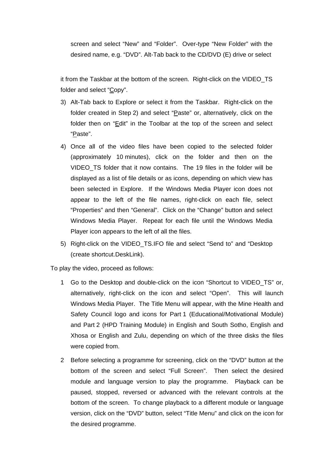screen and select "New" and "Folder". Over-type "New Folder" with the desired name, e.g. "DVD". Alt-Tab back to the CD/DVD (E) drive or select

it from the Taskbar at the bottom of the screen. Right-click on the VIDEO\_TS folder and select "Copy".

- 3) Alt-Tab back to Explore or select it from the Taskbar. Right-click on the folder created in Step 2) and select "Paste" or, alternatively, click on the folder then on "Edit" in the Toolbar at the top of the screen and select "Paste".
- 4) Once all of the video files have been copied to the selected folder (approximately 10 minutes), click on the folder and then on the VIDEO TS folder that it now contains. The 19 files in the folder will be displayed as a list of file details or as icons, depending on which view has been selected in Explore. If the Windows Media Player icon does not appear to the left of the file names, right-click on each file, select "Properties" and then "General". Click on the "Change" button and select Windows Media Player. Repeat for each file until the Windows Media Player icon appears to the left of all the files.
- 5) Right-click on the VIDEO\_TS.IFO file and select "Send to" and "Desktop (create shortcut.DeskLink).

To play the video, proceed as follows:

- 1 Go to the Desktop and double-click on the icon "Shortcut to VIDEO\_TS" or, alternatively, right-click on the icon and select "Open". This will launch Windows Media Player. The Title Menu will appear, with the Mine Health and Safety Council logo and icons for Part 1 (Educational/Motivational Module) and Part 2 (HPD Training Module) in English and South Sotho, English and Xhosa or English and Zulu, depending on which of the three disks the files were copied from.
- 2 Before selecting a programme for screening, click on the "DVD" button at the bottom of the screen and select "Full Screen". Then select the desired module and language version to play the programme. Playback can be paused, stopped, reversed or advanced with the relevant controls at the bottom of the screen. To change playback to a different module or language version, click on the "DVD" button, select "Title Menu" and click on the icon for the desired programme.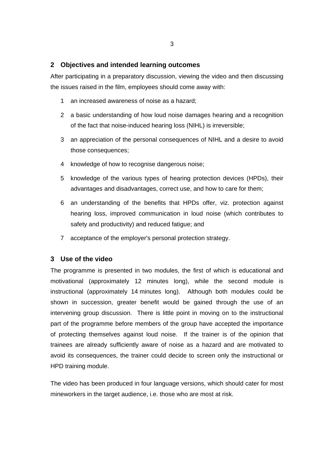### **2 Objectives and intended learning outcomes**

After participating in a preparatory discussion, viewing the video and then discussing the issues raised in the film, employees should come away with:

- 1 an increased awareness of noise as a hazard;
- 2 a basic understanding of how loud noise damages hearing and a recognition of the fact that noise-induced hearing loss (NIHL) is irreversible;
- 3 an appreciation of the personal consequences of NIHL and a desire to avoid those consequences;
- 4 knowledge of how to recognise dangerous noise;
- 5 knowledge of the various types of hearing protection devices (HPDs), their advantages and disadvantages, correct use, and how to care for them;
- 6 an understanding of the benefits that HPDs offer, viz. protection against hearing loss, improved communication in loud noise (which contributes to safety and productivity) and reduced fatigue; and
- 7 acceptance of the employer's personal protection strategy.

### **3 Use of the video**

The programme is presented in two modules, the first of which is educational and motivational (approximately 12 minutes long), while the second module is instructional (approximately 14 minutes long). Although both modules could be shown in succession, greater benefit would be gained through the use of an intervening group discussion. There is little point in moving on to the instructional part of the programme before members of the group have accepted the importance of protecting themselves against loud noise. If the trainer is of the opinion that trainees are already sufficiently aware of noise as a hazard and are motivated to avoid its consequences, the trainer could decide to screen only the instructional or HPD training module.

The video has been produced in four language versions, which should cater for most mineworkers in the target audience, i.e. those who are most at risk.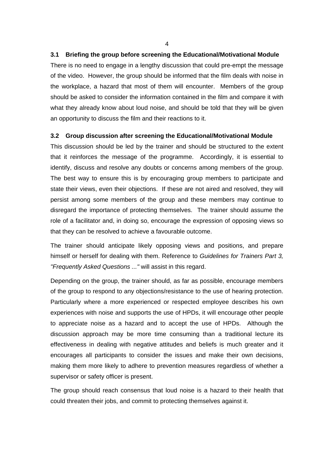#### **3.1 Briefing the group before screening the Educational/Motivational Module**

There is no need to engage in a lengthy discussion that could pre-empt the message of the video. However, the group should be informed that the film deals with noise in the workplace, a hazard that most of them will encounter. Members of the group should be asked to consider the information contained in the film and compare it with what they already know about loud noise, and should be told that they will be given an opportunity to discuss the film and their reactions to it.

#### **3.2 Group discussion after screening the Educational/Motivational Module**

This discussion should be led by the trainer and should be structured to the extent that it reinforces the message of the programme. Accordingly, it is essential to identify, discuss and resolve any doubts or concerns among members of the group. The best way to ensure this is by encouraging group members to participate and state their views, even their objections. If these are not aired and resolved, they will persist among some members of the group and these members may continue to disregard the importance of protecting themselves. The trainer should assume the role of a facilitator and, in doing so, encourage the expression of opposing views so that they can be resolved to achieve a favourable outcome.

The trainer should anticipate likely opposing views and positions, and prepare himself or herself for dealing with them. Reference to *Guidelines for Trainers Part 3, "Frequently Asked Questions ..."* will assist in this regard.

Depending on the group, the trainer should, as far as possible, encourage members of the group to respond to any objections/resistance to the use of hearing protection. Particularly where a more experienced or respected employee describes his own experiences with noise and supports the use of HPDs, it will encourage other people to appreciate noise as a hazard and to accept the use of HPDs. Although the discussion approach may be more time consuming than a traditional lecture its effectiveness in dealing with negative attitudes and beliefs is much greater and it encourages all participants to consider the issues and make their own decisions, making them more likely to adhere to prevention measures regardless of whether a supervisor or safety officer is present.

The group should reach consensus that loud noise is a hazard to their health that could threaten their jobs, and commit to protecting themselves against it.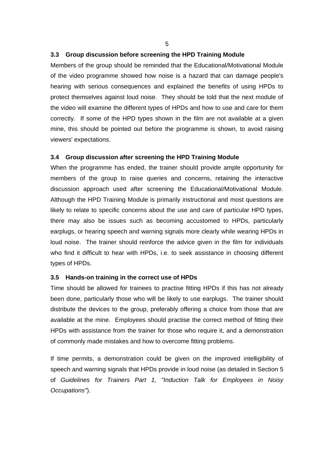### **3.3 Group discussion before screening the HPD Training Module**

Members of the group should be reminded that the Educational/Motivational Module of the video programme showed how noise is a hazard that can damage people's hearing with serious consequences and explained the benefits of using HPDs to protect themselves against loud noise. They should be told that the next module of the video will examine the different types of HPDs and how to use and care for them correctly. If some of the HPD types shown in the film are not available at a given mine, this should be pointed out before the programme is shown, to avoid raising viewers' expectations.

#### **3.4 Group discussion after screening the HPD Training Module**

When the programme has ended, the trainer should provide ample opportunity for members of the group to raise queries and concerns, retaining the interactive discussion approach used after screening the Educational/Motivational Module. Although the HPD Training Module is primarily instructional and most questions are likely to relate to specific concerns about the use and care of particular HPD types, there may also be issues such as becoming accustomed to HPDs, particularly earplugs, or hearing speech and warning signals more clearly while wearing HPDs in loud noise. The trainer should reinforce the advice given in the film for individuals who find it difficult to hear with HPDs, i.e. to seek assistance in choosing different types of HPDs.

#### **3.5 Hands-on training in the correct use of HPDs**

Time should be allowed for trainees to practise fitting HPDs if this has not already been done, particularly those who will be likely to use earplugs. The trainer should distribute the devices to the group, preferably offering a choice from those that are available at the mine. Employees should practise the correct method of fitting their HPDs with assistance from the trainer for those who require it, and a demonstration of commonly made mistakes and how to overcome fitting problems.

If time permits, a demonstration could be given on the improved intelligibility of speech and warning signals that HPDs provide in loud noise (as detailed in Section 5 of *Guidelines for Trainers Part 1, "Induction Talk for Employees in Noisy Occupations"*).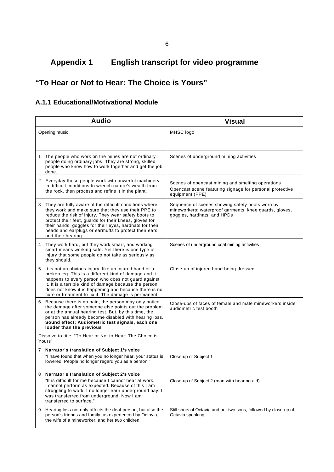# **Appendix 1 English transcript for video programme**

## **"To Hear or Not to Hear: The Choice is Yours"**

## **A.1.1 Educational/Motivational Module**

| <b>Audio</b>                                                                                                                                                                                                                                                                                                                                                              | <b>Visual</b>                                                                                                                            |
|---------------------------------------------------------------------------------------------------------------------------------------------------------------------------------------------------------------------------------------------------------------------------------------------------------------------------------------------------------------------------|------------------------------------------------------------------------------------------------------------------------------------------|
| Opening music                                                                                                                                                                                                                                                                                                                                                             | MHSC logo                                                                                                                                |
| The people who work on the mines are not ordinary<br>1<br>people doing ordinary jobs. They are strong, skilled<br>people who know how to work together and get the job<br>done.                                                                                                                                                                                           | Scenes of underground mining activities                                                                                                  |
| 2 Everyday these people work with powerful machinery<br>in difficult conditions to wrench nature's wealth from<br>the rock, then process and refine it in the plant.                                                                                                                                                                                                      | Scenes of opencast mining and smelting operations<br>Opencast scene featuring signage for personal protective<br>equipment (PPE)         |
| 3 They are fully aware of the difficult conditions where<br>they work and make sure that they use their PPE to<br>reduce the risk of injury. They wear safety boots to<br>protect their feet, guards for their knees, gloves for<br>their hands, goggles for their eyes, hardhats for their<br>heads and earplugs or earmuffs to protect their ears<br>and their hearing. | Sequence of scenes showing safety boots worn by<br>mineworkers: waterproof garments, knee guards, gloves,<br>goggles, hardhats, and HPDs |
| They work hard, but they work smart, and working<br>4<br>smart means working safe. Yet there is one type of<br>injury that some people do not take as seriously as<br>they should.                                                                                                                                                                                        | Scenes of underground coal mining activities                                                                                             |
| It is not an obvious injury, like an injured hand or a<br>5<br>broken leg. This is a different kind of damage and it<br>happens to every person who does not guard against<br>it. It is a terrible kind of damage because the person<br>does not know it is happening and because there is no<br>cure or treatment to fix it. The damage is permanent.                    | Close-up of injured hand being dressed                                                                                                   |
| Because there is no pain, the person may only notice<br>6<br>the damage after someone else points out the problem<br>or at the annual hearing test. But, by this time, the<br>person has already become disabled with hearing loss.<br>Sound effect: Audiometric test signals, each one<br>louder than the previous                                                       | Close-ups of faces of female and male mineworkers inside<br>audiometric test booth                                                       |
| Dissolve to title: "To Hear or Not to Hear: The Choice is<br>Yours"                                                                                                                                                                                                                                                                                                       |                                                                                                                                          |
| 7 Narrator's translation of Subject 1's voice<br>"I have found that when you no longer hear, your status is<br>lowered. People no longer regard you as a person."                                                                                                                                                                                                         | Close-up of Subject 1                                                                                                                    |
| 8 Narrator's translation of Subject 2's voice<br>"It is difficult for me because I cannot hear at work.<br>I cannot perform as expected. Because of this I am<br>struggling to work. I no longer earn underground pay. I<br>was transferred from underground. Now I am<br>transferred to surface."                                                                        | Close-up of Subject 2 (man with hearing aid)                                                                                             |
| Hearing loss not only affects the deaf person, but also the<br>9<br>person's friends and family, as experienced by Octavia,<br>the wife of a mineworker, and her two children.                                                                                                                                                                                            | Still shots of Octavia and her two sons, followed by close-up of<br>Octavia speaking                                                     |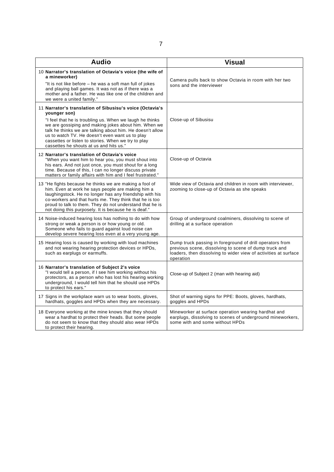| <b>Audio</b>                                                                                                                                                                                                                                                                                                                                                                                                   | <b>Visual</b>                                                                                                                                                                                     |
|----------------------------------------------------------------------------------------------------------------------------------------------------------------------------------------------------------------------------------------------------------------------------------------------------------------------------------------------------------------------------------------------------------------|---------------------------------------------------------------------------------------------------------------------------------------------------------------------------------------------------|
| 10 Narrator's translation of Octavia's voice (the wife of<br>a mineworker)<br>"It is not like before – he was a soft man full of jokes<br>and playing ball games. It was not as if there was a<br>mother and a father. He was like one of the children and<br>we were a united family."                                                                                                                        | Camera pulls back to show Octavia in room with her two<br>sons and the interviewer                                                                                                                |
| 11 Narrator's translation of Sibusisu's voice (Octavia's<br>younger son)<br>"I feel that he is troubling us. When we laugh he thinks<br>we are gossiping and making jokes about him. When we<br>talk he thinks we are talking about him. He doesn't allow<br>us to watch TV. He doesn't even want us to play<br>cassettes or listen to stories. When we try to play<br>cassettes he shouts at us and hits us." | Close-up of Sibusisu                                                                                                                                                                              |
| 12 Narrator's translation of Octavia's voice<br>"When you want him to hear you, you must shout into<br>his ears. And not just once, you must shout for a long<br>time. Because of this, I can no longer discuss private<br>matters or family affairs with him and I feel frustrated."                                                                                                                          | Close-up of Octavia                                                                                                                                                                               |
| 13 "He fights because he thinks we are making a fool of<br>him. Even at work he says people are making him a<br>laughingstock. He no longer has any friendship with his<br>co-workers and that hurts me. They think that he is too<br>proud to talk to them. They do not understand that he is<br>not doing this purposely. It is because he is deaf."                                                         | Wide view of Octavia and children in room with interviewer,<br>zooming to close-up of Octavia as she speaks                                                                                       |
| 14 Noise-induced hearing loss has nothing to do with how<br>strong or weak a person is or how young or old.<br>Someone who fails to guard against loud noise can<br>develop severe hearing loss even at a very young age.                                                                                                                                                                                      | Group of underground coalminers, dissolving to scene of<br>drilling at a surface operation                                                                                                        |
| 15 Hearing loss is caused by working with loud machines<br>and not wearing hearing protection devices or HPDs,<br>such as earplugs or earmuffs.                                                                                                                                                                                                                                                                | Dump truck passing in foreground of drill operators from<br>previous scene, dissolving to scene of dump truck and<br>loaders, then dissolving to wider view of activities at surface<br>operation |
| 16 Narrator's translation of Subject 2's voice<br>"I would tell a person, if I see him working without his<br>protectors, as a person who has lost his hearing working<br>underground, I would tell him that he should use HPDs<br>to protect his ears."                                                                                                                                                       | Close-up of Subject 2 (man with hearing aid)                                                                                                                                                      |
| 17 Signs in the workplace warn us to wear boots, gloves,<br>hardhats, goggles and HPDs when they are necessary.                                                                                                                                                                                                                                                                                                | Shot of warning signs for PPE: Boots, gloves, hardhats,<br>goggles and HPDs                                                                                                                       |
| 18 Everyone working at the mine knows that they should<br>wear a hardhat to protect their heads. But some people<br>do not seem to know that they should also wear HPDs<br>to protect their hearing.                                                                                                                                                                                                           | Mineworker at surface operation wearing hardhat and<br>earplugs, dissolving to scenes of underground mineworkers,<br>some with and some without HPDs                                              |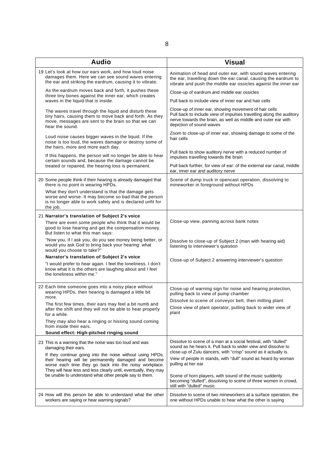| <b>Audio</b>                                                                                                                                                                                | <b>Visual</b>                                                                                                                                                                                                             |
|---------------------------------------------------------------------------------------------------------------------------------------------------------------------------------------------|---------------------------------------------------------------------------------------------------------------------------------------------------------------------------------------------------------------------------|
| 19 Let's look at how our ears work, and how loud noise<br>damages them. Here we can see sound waves entering<br>the ear and striking the eardrum, causing it to vibrate.                    | Animation of head and outer ear, with sound waves entering<br>the ear, travelling down the ear canal, causing the eardrum to<br>vibrate and push the middle ear ossicles against the inner ear                            |
| As the eardrum moves back and forth, it pushes these<br>three tiny bones against the inner ear, which creates                                                                               | Close-up of eardrum and middle ear ossicles                                                                                                                                                                               |
| waves in the liquid that is inside.                                                                                                                                                         | Pull back to include view of inner ear and hair cells                                                                                                                                                                     |
| The waves travel through the liquid and disturb these<br>tiny hairs, causing them to move back and forth. As they<br>move, messages are sent to the brain so that we can<br>hear the sound. | Close-up of inner ear, showing movement of hair cells<br>Pull back to include view of impulses travelling along the auditory<br>nerve towards the brain, as well as middle and outer ear with<br>depiction of sound waves |
| Loud noise causes bigger waves in the liquid. If the<br>noise is too loud, the waves damage or destroy some of<br>the hairs, more and more each day.                                        | Zoom to close-up of inner ear, showing damage to some of the<br>hair cells                                                                                                                                                |
| If this happens, the person will no longer be able to hear<br>certain sounds and, because the damage cannot be                                                                              | Pull back to show auditory nerve with a reduced number of<br>impulses travelling towards the brain                                                                                                                        |
| treated or repaired, the hearing loss is permanent.                                                                                                                                         | Pull back further, for view of ear: of the external ear canal, middle<br>ear, inner ear and auditory nerve                                                                                                                |
| 20 Some people think if their hearing is already damaged that<br>there is no point in wearing HPDs.                                                                                         | Scene of dump truck in opencast operation, dissolving to<br>mineworker in foreground without HPDs                                                                                                                         |
| What they don't understand is that the damage gets<br>worse and worse. It may become so bad that the person<br>is no longer able to work safely and is declared unfit for<br>the job.       |                                                                                                                                                                                                                           |
| 21 Narrator's translation of Subject 2's voice                                                                                                                                              |                                                                                                                                                                                                                           |
| There are even some people who think that it would be<br>good to lose hearing and get the compensation money.<br>But listen to what this man says:                                          | Close-up view, panning across bank notes                                                                                                                                                                                  |
| "Now you, if I ask you, do you see money being better, or<br>would you ask God to bring back your hearing: what<br>would you choose to take?"                                               | Dissolve to close-up of Subject 2 (man with hearing aid)<br>listening to interviewer's question                                                                                                                           |
| Narrator's translation of Subject 2's voice                                                                                                                                                 | Close-up of Subject 2 answering interviewer's question                                                                                                                                                                    |
| "I would prefer to hear again. I feel the loneliness. I don't<br>know what it is the others are laughing about and I feel<br>the loneliness within me."                                     |                                                                                                                                                                                                                           |
| 22 Each time someone goes into a noisy place without<br>wearing HPDs, their hearing is damaged a little bit<br>more.                                                                        | Close-up of warning sign for noise and hearing protection,<br>pulling back to view of pump chamber                                                                                                                        |
| The first few times, their ears may feel a bit numb and<br>after the shift and they will not be able to hear properly<br>for a while.                                                       | Dissolve to scene of conveyor belt, then milling plant<br>Close view of plant operator, pulling back to wider view of<br>plant                                                                                            |
| They may also hear a ringing or hissing sound coming<br>from inside their ears.                                                                                                             |                                                                                                                                                                                                                           |
| Sound effect: High-pitched ringing sound                                                                                                                                                    |                                                                                                                                                                                                                           |
| 23 This is a warning that the noise was too loud and was<br>damaging their ears.<br>If they continue going into the noise without using HPDs,                                               | Dissolve to scene of a man at a social festival, with "dulled"<br>sound as he hears it. Pull back to wider view and dissolve to<br>close-up of Zulu dancers, with "crisp" sound as it actually is.                        |
| their hearing will be permanently damaged and become<br>worse each time they go back into the noisy workplace.<br>They will hear less and less clearly until, eventually, they may          | View of people in stands, with "dull" sound as heard by woman<br>pulling at her ear                                                                                                                                       |
| be unable to understand what other people say to them.                                                                                                                                      | Scene of horn players, with sound of the music suddenly<br>becoming "dulled", dissolving to scene of three women in crowd,<br>still with "dulled" music                                                                   |
| 24 How will this person be able to understand what the other<br>workers are saying or hear warning signals?                                                                                 | Dissolve to scene of two mineworkers at a surface operation, the<br>one without HPDs unable to hear what the other is saying                                                                                              |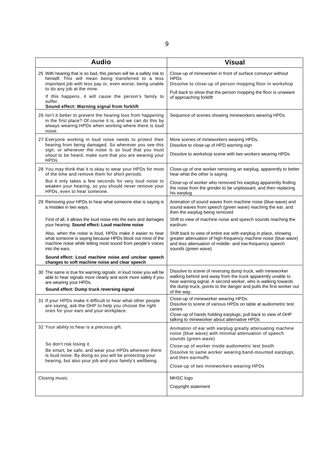| <b>Audio</b>                                                                                                                                                                                                                                                                   | <b>Visual</b>                                                                                                                                                                                                                                                                   |
|--------------------------------------------------------------------------------------------------------------------------------------------------------------------------------------------------------------------------------------------------------------------------------|---------------------------------------------------------------------------------------------------------------------------------------------------------------------------------------------------------------------------------------------------------------------------------|
| 25 With hearing that is so bad, this person will be a safety risk to<br>himself. This will mean being transferred to a less<br>important job with less pay or, even worse, being unable<br>to do any job at the mine.<br>If this happens, it will cause the person's family to | Close-up of mineworker in front of surface conveyor without<br><b>HPDs</b><br>Dissolve to close-up of person mopping floor in workshop<br>Pull back to show that the person mopping the floor is unaware<br>of approaching forklift                                             |
| suffer.<br>Sound effect: Warning signal from forklift                                                                                                                                                                                                                          |                                                                                                                                                                                                                                                                                 |
| 26 Isn't it better to prevent the hearing loss from happening<br>in the first place? Of course it is, and we can do this by<br>always wearing HPDs when working where there is loud<br>noise.                                                                                  | Sequence of scenes showing mineworkers wearing HPDs                                                                                                                                                                                                                             |
| 27 Everyone working in loud noise needs to protect their<br>hearing from being damaged. So wherever you see this<br>sign, or whenever the noise is so loud that you must<br>shout to be heard, make sure that you are wearing your<br>HPDs.                                    | More scenes of mineworkers wearing HPDs,<br>Dissolve to close-up of HPD warning sign<br>Dissolve to workshop scene with two workers wearing HPDs                                                                                                                                |
| 28 You may think that it is okay to wear your HPDs for most<br>of the time and remove them for short periods.                                                                                                                                                                  | Close-up of one worker removing an earplug, apparently to better<br>hear what the other is saying                                                                                                                                                                               |
| But it only takes a few seconds for very loud noise to<br>weaken your hearing, so you should never remove your<br>HPDs, even to hear someone.                                                                                                                                  | Close-up of worker who removed his earplug apparently finding<br>the noise from the grinder to be unpleasant, and then replacing<br>his earplug                                                                                                                                 |
| 29 Removing your HPDs to hear what someone else is saying is<br>a mistake in two ways.                                                                                                                                                                                         | Animation of sound waves from machine noise (blue wave) and<br>sound waves from speech (green wave) reaching the ear, and<br>then the earplug being removed                                                                                                                     |
| First of all, it allows the loud noise into the ears and damages<br>your hearing. Sound effect: Loud machine noise                                                                                                                                                             | Shift to view of machine noise and speech sounds reaching the<br>eardrum                                                                                                                                                                                                        |
| Also, when the noise is loud, HPDs make it easier to hear<br>what someone is saying because HPDs block out most of the<br>machine noise while letting most sound from people's voices<br>into the ears.                                                                        | Shift back to view of entire ear with earplug in place, showing<br>greater attenuation of high-frequency machine noise (blue wave)<br>and less attenuation of middle- and low-frequency speech<br>sounds (green wave)                                                           |
| Sound effect: Loud machine noise and unclear speech<br>changes to soft machine noise and clear speech                                                                                                                                                                          |                                                                                                                                                                                                                                                                                 |
| 30 The same is true for warning signals: in loud noise you will be<br>able to hear signals more clearly and work more safely if you<br>are wearing your HPDs.<br>Sound effect: Dump truck reversing signal                                                                     | Dissolve to scene of reversing dump truck, with mineworker<br>walking behind and away from the truck apparently unable to<br>hear warning signal. A second worker, who is walking towards<br>the dump truck, points to the danger and pulls the first worker out<br>of the way. |
| 31 If your HPDs make it difficult to hear what other people<br>are saying, ask the OHP to help you choose the right<br>ones for your ears and your workplace.                                                                                                                  | Close-up of mineworker wearing HPDs.<br>Dissolve to scene of various HPDs on table at audiometric test<br>centre<br>Close-up of hands holding earplugs; pull back to view of OHP<br>talking to mineworker about alternative HPDs                                                |
| 32 Your ability to hear is a precious gift.                                                                                                                                                                                                                                    | Animation of ear with earplug greatly attenuating machine<br>noise (blue wave) with minimal attenuation of speech<br>sounds (green wave)                                                                                                                                        |
| So don't risk losing it.<br>Be smart, be safe, and wear your HPDs wherever there<br>is loud noise. By doing so you will be protecting your<br>hearing, but also your job and your family's wellbeing.                                                                          | Close-up of worker inside audiometric test booth<br>Dissolve to same worker wearing band-mounted earplugs,<br>and then earmuffs<br>Close-up of two mineworkers wearing HPDs                                                                                                     |
| Closing music                                                                                                                                                                                                                                                                  | MHSC logo                                                                                                                                                                                                                                                                       |
|                                                                                                                                                                                                                                                                                | Copyright statement                                                                                                                                                                                                                                                             |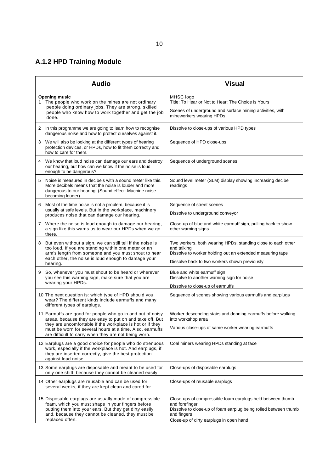## 10

# **A.1.2 HPD Training Module**

|   | <b>Audio</b>                                                                                                                                                                                                                                                                                            | <b>Visual</b>                                                                                                                                                                                             |
|---|---------------------------------------------------------------------------------------------------------------------------------------------------------------------------------------------------------------------------------------------------------------------------------------------------------|-----------------------------------------------------------------------------------------------------------------------------------------------------------------------------------------------------------|
|   | <b>Opening music</b><br>1 The people who work on the mines are not ordinary<br>people doing ordinary jobs. They are strong, skilled<br>people who know how to work together and get the job<br>done.                                                                                                    | MHSC logo<br>Title: To Hear or Not to Hear: The Choice is Yours<br>Scenes of underground and surface mining activities, with<br>mineworkers wearing HPDs                                                  |
|   | 2 In this programme we are going to learn how to recognise<br>dangerous noise and how to protect ourselves against it.                                                                                                                                                                                  | Dissolve to close-ups of various HPD types                                                                                                                                                                |
| 3 | We will also be looking at the different types of hearing<br>protection devices, or HPDs, how to fit them correctly and<br>how to care for them.                                                                                                                                                        | Sequence of HPD close-ups                                                                                                                                                                                 |
|   | 4 We know that loud noise can damage our ears and destroy<br>our hearing, but how can we know if the noise is loud<br>enough to be dangerous?                                                                                                                                                           | Sequence of underground scenes                                                                                                                                                                            |
| 5 | Noise is measured in decibels with a sound meter like this.<br>More decibels means that the noise is louder and more<br>dangerous to our hearing. (Sound effect: Machine noise<br>becoming louder)                                                                                                      | Sound level meter (SLM) display showing increasing decibel<br>readings                                                                                                                                    |
| 6 | Most of the time noise is not a problem, because it is<br>usually at safe levels. But in the workplace, machinery<br>produces noise that can damage our hearing.                                                                                                                                        | Sequence of street scenes<br>Dissolve to underground conveyor                                                                                                                                             |
|   | 7 Where the noise is loud enough to damage our hearing,<br>a sign like this warns us to wear our HPDs when we go<br>there.                                                                                                                                                                              | Close-up of blue and white earmuff sign, pulling back to show<br>other warning signs                                                                                                                      |
| 8 | But even without a sign, we can still tell if the noise is<br>too loud. If you are standing within one meter or an<br>arm's length from someone and you must shout to hear<br>each other, the noise is loud enough to damage your<br>hearing.                                                           | Two workers, both wearing HPDs, standing close to each other<br>and talking<br>Dissolve to worker holding out an extended measuring tape<br>Dissolve back to two workers shown previously                 |
| 9 | So, whenever you must shout to be heard or wherever<br>you see this warning sign, make sure that you are<br>wearing your HPDs.                                                                                                                                                                          | Blue and white earmuff sign<br>Dissolve to another warning sign for noise<br>Dissolve to close-up of earmuffs                                                                                             |
|   | 10 The next question is: which type of HPD should you<br>wear? The different kinds include earmuffs and many<br>different types of earplugs.                                                                                                                                                            | Sequence of scenes showing various earmuffs and earplugs                                                                                                                                                  |
|   | 11 Earmuffs are good for people who go in and out of noisy<br>areas, because they are easy to put on and take off. But<br>they are uncomfortable if the workplace is hot or if they<br>must be worn for several hours at a time. Also, earmuffs<br>are difficult to carry when they are not being worn. | Worker descending stairs and donning earmuffs before walking<br>into workshop area<br>Various close-ups of same worker wearing earmuffs                                                                   |
|   | 12 Earplugs are a good choice for people who do strenuous<br>work, especially if the workplace is hot. And earplugs, if<br>they are inserted correctly, give the best protection<br>against loud noise.                                                                                                 | Coal miners wearing HPDs standing at face                                                                                                                                                                 |
|   | 13 Some earplugs are disposable and meant to be used for<br>only one shift, because they cannot be cleaned easily.                                                                                                                                                                                      | Close-ups of disposable earplugs                                                                                                                                                                          |
|   | 14 Other earplugs are reusable and can be used for<br>several weeks, if they are kept clean and cared for.                                                                                                                                                                                              | Close-ups of reusable earplugs                                                                                                                                                                            |
|   | 15 Disposable earplugs are usually made of compressible<br>foam, which you must shape in your fingers before<br>putting them into your ears. But they get dirty easily<br>and, because they cannot be cleaned, they must be<br>replaced often.                                                          | Close-ups of compressible foam earplugs held between thumb<br>and forefinger<br>Dissolve to close-up of foam earplug being rolled between thumb<br>and fingers<br>Close-up of dirty earplugs in open hand |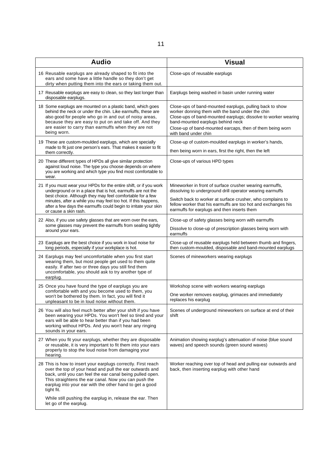| <b>Audio</b>                                                                                                                                                                                                                                                                                                                                                | <b>Visual</b>                                                                                                                                                                                                                                                                                            |
|-------------------------------------------------------------------------------------------------------------------------------------------------------------------------------------------------------------------------------------------------------------------------------------------------------------------------------------------------------------|----------------------------------------------------------------------------------------------------------------------------------------------------------------------------------------------------------------------------------------------------------------------------------------------------------|
| 16 Reusable earplugs are already shaped to fit into the<br>ears and some have a little handle so they don't get<br>dirty when putting them into the ears or taking them out.                                                                                                                                                                                | Close-ups of reusable earplugs                                                                                                                                                                                                                                                                           |
| 17 Reusable earplugs are easy to clean, so they last longer than<br>disposable earplugs.                                                                                                                                                                                                                                                                    | Earplugs being washed in basin under running water                                                                                                                                                                                                                                                       |
| 18 Some earplugs are mounted on a plastic band, which goes<br>behind the neck or under the chin. Like earmuffs, these are<br>also good for people who go in and out of noisy areas,<br>because they are easy to put on and take off. And they<br>are easier to carry than earmuffs when they are not<br>being worn.                                         | Close-ups of band-mounted earplugs, pulling back to show<br>worker donning them with the band under the chin<br>Close-ups of band-mounted earplugs; dissolve to worker wearing<br>band-mounted earplugs behind neck<br>Close-up of band-mounted earcaps, then of them being worn<br>with band under chin |
| 19 These are custom-moulded earplugs, which are specially<br>made to fit just one person's ears. That makes it easier to fit<br>them correctly.                                                                                                                                                                                                             | Close-up of custom-moulded earplugs in worker's hands,<br>then being worn in ears, first the right, then the left                                                                                                                                                                                        |
| 20 These different types of HPDs all give similar protection<br>against loud noise. The type you choose depends on where<br>you are working and which type you find most comfortable to<br>wear.                                                                                                                                                            | Close-ups of various HPD types                                                                                                                                                                                                                                                                           |
| 21 If you must wear your HPDs for the entire shift, or if you work<br>underground or in a place that is hot, earmuffs are not the<br>best choice. Although they may feel comfortable for a few<br>minutes, after a while you may feel too hot. If this happens,<br>after a few days the earmuffs could begin to irritate your skin<br>or cause a skin rash. | Mineworker in front of surface crusher wearing earmuffs,<br>dissolving to underground drill operator wearing earmuffs<br>Switch back to worker at surface crusher, who complains to<br>fellow worker that his earmuffs are too hot and exchanges his<br>earmuffs for earplugs and then inserts them      |
| 22 Also, if you use safety glasses that are worn over the ears,<br>some glasses may prevent the earmuffs from sealing tightly<br>around your ears.                                                                                                                                                                                                          | Close-up of safety glasses being worn with earmuffs<br>Dissolve to close-up of prescription glasses being worn with<br>earmuffs                                                                                                                                                                          |
| 23 Earplugs are the best choice if you work in loud noise for<br>long periods, especially if your workplace is hot.                                                                                                                                                                                                                                         | Close-up of reusable earplugs held between thumb and fingers,<br>then custom-moulded, disposable and band-mounted earplugs                                                                                                                                                                               |
| 24 Earplugs may feel uncomfortable when you first start<br>wearing them, but most people get used to them quite<br>easily. If after two or three days you still find them<br>uncomfortable, you should ask to try another type of<br>earplug.                                                                                                               | Scenes of mineworkers wearing earplugs                                                                                                                                                                                                                                                                   |
| 25 Once you have found the type of earplugs you are<br>comfortable with and you become used to them, you<br>won't be bothered by them. In fact, you will find it<br>unpleasant to be in loud noise without them.                                                                                                                                            | Workshop scene with workers wearing earplugs<br>One worker removes earplug, grimaces and immediately<br>replaces his earplug                                                                                                                                                                             |
| 26 You will also feel much better after your shift if you have<br>been wearing your HPDs. You won't feel so tired and your<br>ears will be able to hear better than if you had been<br>working without HPDs. And you won't hear any ringing<br>sounds in your ears.                                                                                         | Scenes of underground mineworkers on surface at end of their<br>shift                                                                                                                                                                                                                                    |
| 27 When you fit your earplugs, whether they are disposable<br>or reusable, it is very important to fit them into your ears<br>properly to stop the loud noise from damaging your<br>hearing.                                                                                                                                                                | Animation showing earplug's attenuation of noise (blue sound<br>waves) and speech sounds (green sound waves)                                                                                                                                                                                             |
| 28 This is how to insert your earplugs correctly. First reach<br>over the top of your head and pull the ear outwards and<br>back, until you can feel the ear canal being pulled open.<br>This straightens the ear canal. Now you can push the<br>earplug into your ear with the other hand to get a good<br>tight fit.                                      | Worker reaching over top of head and pulling ear outwards and<br>back, then inserting earplug with other hand                                                                                                                                                                                            |
| While still pushing the earplug in, release the ear. Then<br>let go of the earplug.                                                                                                                                                                                                                                                                         |                                                                                                                                                                                                                                                                                                          |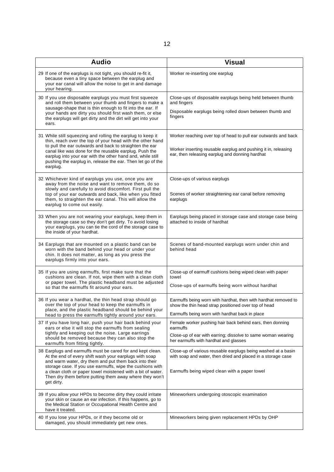| <b>Audio</b>                                                                                                                                                                                                                                                                                                                                                                           | <b>Visual</b>                                                                                                                                                                       |
|----------------------------------------------------------------------------------------------------------------------------------------------------------------------------------------------------------------------------------------------------------------------------------------------------------------------------------------------------------------------------------------|-------------------------------------------------------------------------------------------------------------------------------------------------------------------------------------|
| 29 If one of the earplugs is not tight, you should re-fit it,<br>because even a tiny space between the earplug and<br>your ear canal will allow the noise to get in and damage<br>your hearing.                                                                                                                                                                                        | Worker re-inserting one earplug                                                                                                                                                     |
| 30 If you use disposable earplugs you must first squeeze<br>and roll them between your thumb and fingers to make a<br>sausage-shape that is thin enough to fit into the ear. If<br>your hands are dirty you should first wash them, or else<br>the earplugs will get dirty and the dirt will get into your<br>ears.                                                                    | Close-ups of disposable earplugs being held between thumb<br>and fingers                                                                                                            |
|                                                                                                                                                                                                                                                                                                                                                                                        | Disposable earplugs being rolled down between thumb and<br>fingers                                                                                                                  |
| 31 While still squeezing and rolling the earplug to keep it<br>thin, reach over the top of your head with the other hand<br>to pull the ear outwards and back to straighten the ear<br>canal like was done for the reusable earplug. Push the<br>earplug into your ear with the other hand and, while still<br>pushing the earplug in, release the ear. Then let go of the<br>earplug. | Worker reaching over top of head to pull ear outwards and back<br>Worker inserting reusable earplug and pushing it in, releasing<br>ear, then releasing earplug and donning hardhat |
| 32 Whichever kind of earplugs you use, once you are<br>away from the noise and want to remove them, do so<br>slowly and carefully to avoid discomfort. First pull the<br>top of your ear outwards and back, like when you fitted<br>them, to straighten the ear canal. This will allow the<br>earplug to come out easily.                                                              | Close-ups of various earplugs<br>Scenes of worker straightening ear canal before removing<br>earplugs                                                                               |
| 33 When you are not wearing your earplugs, keep them in<br>the storage case so they don't get dirty. To avoid losing<br>your earplugs, you can tie the cord of the storage case to<br>the inside of your hardhat.                                                                                                                                                                      | Earplugs being placed in storage case and storage case being<br>attached to inside of hardhat                                                                                       |
| 34 Earplugs that are mounted on a plastic band can be<br>worn with the band behind your head or under your<br>chin. It does not matter, as long as you press the<br>earplugs firmly into your ears.                                                                                                                                                                                    | Scenes of band-mounted earplugs worn under chin and<br>behind head                                                                                                                  |
| 35 If you are using earmuffs, first make sure that the<br>cushions are clean. If not, wipe them with a clean cloth<br>or paper towel. The plastic headband must be adjusted<br>so that the earmuffs fit around your ears.                                                                                                                                                              | Close-up of earmuff cushions being wiped clean with paper<br>towel<br>Close-ups of earmuffs being worn without hardhat                                                              |
| 36 If you wear a hardhat, the thin head strap should go<br>over the top of your head to keep the earmuffs in<br>place, and the plastic headband should be behind your                                                                                                                                                                                                                  | Earmuffs being worn with hardhat, then with hardhat removed to<br>show the thin head strap positioned over top of head<br>Earmuffs being worn with hardhat back in place            |
| head to press the earmuffs tightly around your ears.<br>37 If you have long hair, push your hair back behind your                                                                                                                                                                                                                                                                      | Female worker pushing hair back behind ears, then donning                                                                                                                           |
| ears or else it will stop the earmuffs from sealing<br>tightly and keeping out the noise. Large earrings<br>should be removed because they can also stop the<br>earmuffs from fitting tightly.                                                                                                                                                                                         | earmuffs<br>Close-up of ear with earring; dissolve to same woman wearing<br>her earmuffs with hardhat and glasses                                                                   |
| 38 Earplugs and earmuffs must be cared for and kept clean.<br>At the end of every shift wash your earplugs with soap<br>and warm water, dry them and put them back into their                                                                                                                                                                                                          | Close-up of various reusable earplugs being washed at a basin<br>with soap and water, then dried and placed in a storage case                                                       |
| storage case. If you use earmuffs, wipe the cushions with<br>a clean cloth or paper towel moistened with a bit of water.<br>Then dry them before putting them away where they won't<br>get dirty.                                                                                                                                                                                      | Earmuffs being wiped clean with a paper towel                                                                                                                                       |
| 39 If you allow your HPDs to become dirty they could irritate<br>your skin or cause an ear infection. If this happens, go to<br>the Medical Station or Occupational Health Centre and<br>have it treated.                                                                                                                                                                              | Mineworkers undergoing otoscopic examination                                                                                                                                        |
| 40 If you lose your HPDs, or if they become old or<br>damaged, you should immediately get new ones.                                                                                                                                                                                                                                                                                    | Mineworkers being given replacement HPDs by OHP                                                                                                                                     |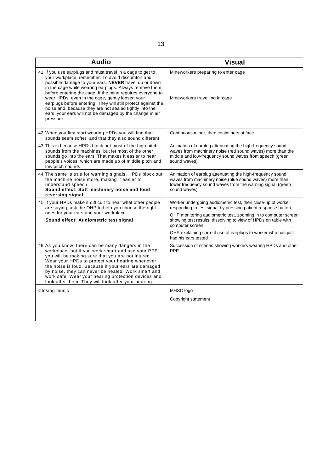| <b>Audio</b>                                                                                                                                                                                                                                                                                                                                                                                                                                                                                                                                             | <b>Visual</b>                                                                                                                                                                                                                                                                                                                                                               |
|----------------------------------------------------------------------------------------------------------------------------------------------------------------------------------------------------------------------------------------------------------------------------------------------------------------------------------------------------------------------------------------------------------------------------------------------------------------------------------------------------------------------------------------------------------|-----------------------------------------------------------------------------------------------------------------------------------------------------------------------------------------------------------------------------------------------------------------------------------------------------------------------------------------------------------------------------|
| 41 If you use earplugs and must travel in a cage to get to<br>your workplace, remember: To avoid discomfort and<br>possible damage to your ears, NEVER travel up or down<br>in the cage while wearing earplugs. Always remove them<br>before entering the cage. If the mine requires everyone to<br>wear HPDs, even in the cage, gently loosen your<br>earplugs before entering. They will still protect against the<br>noise and, because they are not sealed tightly into the<br>ears, your ears will not be damaged by the change in air<br>pressure. | Mineworkers preparing to enter cage<br>Mineworkers travelling in cage                                                                                                                                                                                                                                                                                                       |
| 42 When you first start wearing HPDs you will find that<br>sounds seem softer, and that they also sound different.                                                                                                                                                                                                                                                                                                                                                                                                                                       | Continuous miner, then coalminers at face                                                                                                                                                                                                                                                                                                                                   |
| 43 This is because HPDs block out most of the high pitch<br>sounds from the machines, but let most of the other<br>sounds go into the ears. That makes it easier to hear<br>people's voices, which are made up of middle pitch and<br>low pitch sounds.                                                                                                                                                                                                                                                                                                  | Animation of earplug attenuating the high-frequency sound<br>waves from machinery noise (red sound waves) more than the<br>middle and low-frequency sound waves from speech (green<br>sound waves)                                                                                                                                                                          |
| 44 The same is true for warning signals. HPDs block out<br>the machine noise more, making it easier to<br>understand speech.<br>Sound effect: Soft machinery noise and loud<br>reversing signal                                                                                                                                                                                                                                                                                                                                                          | Animation of earplug attenuating the high-frequency sound<br>waves from machinery noise (blue sound waves) more than<br>lower frequency sound waves from the warning signal (green<br>sound waves)                                                                                                                                                                          |
| 45 If your HPDs make it difficult to hear what other people<br>are saying, ask the OHP to help you choose the right<br>ones for your ears and your workplace.<br>Sound effect: Audiometric test signal                                                                                                                                                                                                                                                                                                                                                   | Worker undergoing audiometric test, then close-up of worker<br>responding to test signal by pressing patient response button<br>OHP monitoring audiometric test, zooming in to computer screen<br>showing test results, dissolving to view of HPDs on table with<br>computer screen<br>OHP explaining correct use of earplugs to worker who has just<br>had his ears tested |
| 46 As you know, there can be many dangers in the<br>workplace, but if you work smart and use your PPE<br>you will be making sure that you are not injured.<br>Wear your HPDs to protect your hearing whenever<br>the noise is loud. Because if your ears are damaged<br>by noise, they can never be healed. Work smart and<br>work safe. Wear your hearing protection devices and<br>look after them. They will look after your hearing.                                                                                                                 | Succession of scenes showing workers wearing HPDs and other<br><b>PPE</b>                                                                                                                                                                                                                                                                                                   |
| Closing music                                                                                                                                                                                                                                                                                                                                                                                                                                                                                                                                            | MHSC logo                                                                                                                                                                                                                                                                                                                                                                   |
|                                                                                                                                                                                                                                                                                                                                                                                                                                                                                                                                                          | Copyright statement                                                                                                                                                                                                                                                                                                                                                         |
|                                                                                                                                                                                                                                                                                                                                                                                                                                                                                                                                                          |                                                                                                                                                                                                                                                                                                                                                                             |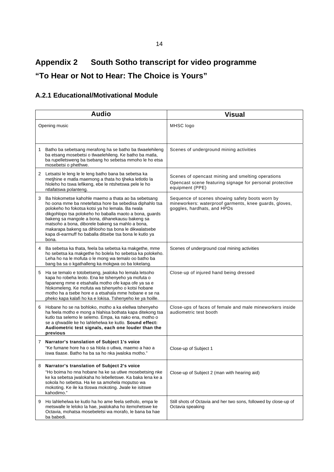# **Appendix 2 South Sotho transcript for video programme "To Hear or Not to Hear: The Choice is Yours"**

## **A.2.1 Educational/Motivational Module**

|    | <b>Audio</b>                                                                                                                                                                                                                                                                                                                                                                                                                                                     | <b>Visual</b>                                                                                                                            |
|----|------------------------------------------------------------------------------------------------------------------------------------------------------------------------------------------------------------------------------------------------------------------------------------------------------------------------------------------------------------------------------------------------------------------------------------------------------------------|------------------------------------------------------------------------------------------------------------------------------------------|
|    | Opening music                                                                                                                                                                                                                                                                                                                                                                                                                                                    | MHSC logo                                                                                                                                |
| 1. | Batho ba sebetsang merafong ha se batho ba tiwaelehileng<br>ba etsang mosebetsi o tlwaelehileng. Ke batho ba matla,<br>ba rupelletsweng ba tsebang ho sebetsa mmoho le ho etsa<br>mosebetsi o phethwe.                                                                                                                                                                                                                                                           | Scenes of underground mining activities                                                                                                  |
| 2  | Letsatsi le leng le le leng batho bana ba sebetsa ka<br>metihine e matla maemong a thata ho tiheka letlotlo la<br>hloleho ho tswa lefikeng, ebe le ntshetswa pele le ho<br>ntlafatswa polanteng.                                                                                                                                                                                                                                                                 | Scenes of opencast mining and smelting operations<br>Opencast scene featuring signage for personal protective<br>equipment (PPE)         |
| 3  | Ba hlokometse kahohle maemo a thata ao ba sebetsang<br>ho oona mme ba nnetefatsa hore ba sebedisa diphahlo tsa<br>polokeho ho fokotsa kotsi ya ho lemala. Ba rwala<br>dikgohlopo tsa polokeho ho baballa maoto a bona, guards<br>bakeng sa mangole a bona, dihanekausu bakeng sa<br>matsoho a bona, diborele bakeng sa mahlo a bona,<br>makarapa bakeng sa dihlooho tsa bona le dikwalatsebe<br>kapa di-earmuff ho baballa ditsebe tsa bona le kutlo ya<br>bona. | Sequence of scenes showing safety boots worn by<br>mineworkers: waterproof garments, knee guards, gloves,<br>goggles, hardhats, and HPDs |
| 4  | Ba sebetsa ka thata, feela ba sebetsa ka makgethe, mme<br>ho sebetsa ka makgethe ho bolela ho sebetsa ka polokeho.<br>Leha ho na le mofuta o le mong wa temalo oo batho ba<br>bang ba sa o kgathalleng ka mokgwa oo ba lokelang.                                                                                                                                                                                                                                 | Scenes of underground coal mining activities                                                                                             |
| 5  | Ha se temalo e totobetseng, jwaloka ho lemala letsoho<br>kapa ho robeha leoto. Ena ke tshenyeho ya mofuta o<br>fapaneng mme e etsahalla motho ofe kapa ofe ya sa e<br>hlokomeleng. Ke mofuta wa tshenyeho o kotsi hobane<br>motho ha a tsebe hore e a etsahala mme hobane e se na<br>pheko kapa kalafi ho ka e lokisa. Tshenyeho ke ya hoille.                                                                                                                   | Close-up of injured hand being dressed                                                                                                   |
| 6  | Hobane ho se na bohloko, motho a ka elellwa tshenyeho<br>ha feela motho e mong a hlahisa bothata kapa ditekong tsa<br>kutlo tsa selemo le selemo. Empa, ka nako ena, motho o<br>se a qhwadile ke ho lahlehelwa ke kutlo. Sound effect:<br>Audiometric test signals, each one louder than the<br>previous                                                                                                                                                         | Close-ups of faces of female and male mineworkers inside<br>audiometric test booth                                                       |
|    | 7 Narrator's translation of Subject 1's voice<br>"Ke fumane hore ha o sa hlola o utlwa, maemo a hao a<br>iswa tlaase. Batho ha ba sa ho nka jwaloka motho."                                                                                                                                                                                                                                                                                                      | Close-up of Subject 1                                                                                                                    |
| 8  | Narrator's translation of Subject 2's voice<br>"Ho boima ho nna hobane ha ke sa utlwe mosebetsing nke<br>ke ka sebetsa jwalokaha ho lebelletswe. Ka baka lena ke a<br>sokola ho sebetsa. Ha ke sa amohela moputso wa<br>mokoting. Ke ile ka tloswa mokoting. Jwale ke isitswe<br>kahodimo."                                                                                                                                                                      | Close-up of Subject 2 (man with hearing aid)                                                                                             |
| 9  | Ho lahlehelwa ke kutlo ha ho ame feela setholo, empa le<br>metswalle le leloko la hae, jwalokaha ho itemohetswe ke<br>Octavia, mohatsa mosebeletsi wa morafo, le bana ba hae<br>ba babedi.                                                                                                                                                                                                                                                                       | Still shots of Octavia and her two sons, followed by close-up of<br>Octavia speaking                                                     |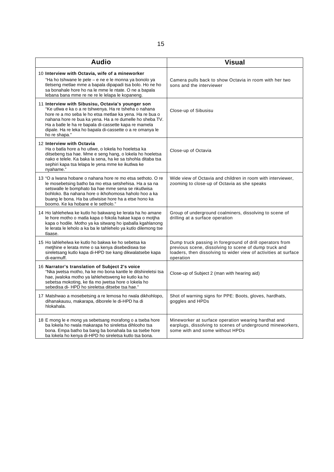| <b>Audio</b>                                                                                                                                                                                                                                                                                                                                                              | <b>Visual</b>                                                                                                                                                                                     |
|---------------------------------------------------------------------------------------------------------------------------------------------------------------------------------------------------------------------------------------------------------------------------------------------------------------------------------------------------------------------------|---------------------------------------------------------------------------------------------------------------------------------------------------------------------------------------------------|
| 10 Interview with Octavia, wife of a mineworker<br>"Ha ho tshwane le pele – e ne e le monna ya bonolo ya<br>tletseng metlae mme a bapala dipapadi tsa bolo. Ho ne ho<br>sa bonahale hore ho na le mme le ntate. O ne a bapala<br>lebana bana mme re ne re le lelapa le kopaneng.                                                                                          | Camera pulls back to show Octavia in room with her two<br>sons and the interviewer                                                                                                                |
| 11 Interview with Sibusisu, Octavia's younger son<br>"Ke utlwa e ka o a re tshwenya. Ha re tsheha o nahana<br>hore re a mo seba le ho etsa metlae ka yena. Ha re bua o<br>nahana hore re bua ka yena. Ha a re dumelle ho sheba TV.<br>Ha a batle le ha re bapala di-cassette kapa re mamela<br>dipale. Ha re leka ho bapala di-cassette o a re omanya le<br>ho re shapa." | Close-up of Sibusisu                                                                                                                                                                              |
| 12 Interview with Octavia<br>Ha o batla hore a ho utlwe, o lokela ho hoeletsa ka<br>ditsebeng tsa hae. Mme e seng hang, o lokela ho hoeletsa<br>nako e telele. Ka baka la sena, ha ke sa tshohla ditaba tsa<br>sephiri kapa tsa lelapa le yena mme ke ikutlwa ke<br>nyahame."                                                                                             | Close-up of Octavia                                                                                                                                                                               |
| 13 "O a Iwana hobane o nahana hore re mo etsa sethoto. O re<br>le mosebetsing batho ba mo etsa setshehisa. Ha a sa na<br>setswalle le bomphato ba hae mme sena se nkutlwisa<br>bohloko. Ba nahana hore o ikhohomosa haholo hoo a ka<br>buang le bona. Ha ba utlwisise hore ha a etse hono ka<br>boomo. Ke ka hobane e le setholo."                                        | Wide view of Octavia and children in room with interviewer,<br>zooming to close-up of Octavia as she speaks                                                                                       |
| 14 Ho lahlehelwa ke kutlo ho bakwang ke lerata ha ho amane<br>le hore motho o matla kapa o fokola hakae kapa o motjha<br>kapa o hodile. Motho ya ka sitwang ho ipaballa kgahlanong<br>le lerata le leholo a ka ba le tahlehelo ya kutlo dilemong tse<br>tlaase.                                                                                                           | Group of underground coalminers, dissolving to scene of<br>drilling at a surface operation                                                                                                        |
| 15 Ho lahlehelwa ke kutlo ho bakwa ke ho sebetsa ka<br>metihine e lerata mme o sa kenya disebediswa tse<br>sireletsang kutlo kapa di-HPD tse kang dikwalatsebe kapa<br>di-earmuff.                                                                                                                                                                                        | Dump truck passing in foreground of drill operators from<br>previous scene, dissolving to scene of dump truck and<br>loaders, then dissolving to wider view of activities at surface<br>operation |
| 16 Narrator's translation of Subject 2's voice<br>"Nka jwetsa motho, ha ke mo bona kantle le ditshireletsi tsa<br>hae, jwaloka motho ya lahlehetsweng ke kutlo ka ho<br>sebetsa mokoting, ke tla mo jwetsa hore o lokela ho<br>sebedisa di- HPD ho sireletsa ditsebe tsa hae."                                                                                            | Close-up of Subject 2 (man with hearing aid)                                                                                                                                                      |
| 17 Matshwao a mosebetsing a re lemosa ho rwala dikhohlopo,<br>dihanakausu, makarapa, diborele le di-HPD ha di<br>hlokahala.                                                                                                                                                                                                                                               | Shot of warning signs for PPE: Boots, gloves, hardhats,<br>goggles and HPDs                                                                                                                       |
| 18 E mong le e mong ya sebetsang morafong o a tseba hore<br>ba lokela ho rwala makarapa ho sireletsa dihlooho tsa<br>bona. Empa batho ba bang ba bonahala ba sa tsebe hore<br>ba lokela ho kenya di-HPD ho sireletsa kutlo tsa bona.                                                                                                                                      | Mineworker at surface operation wearing hardhat and<br>earplugs, dissolving to scenes of underground mineworkers,<br>some with and some without HPDs                                              |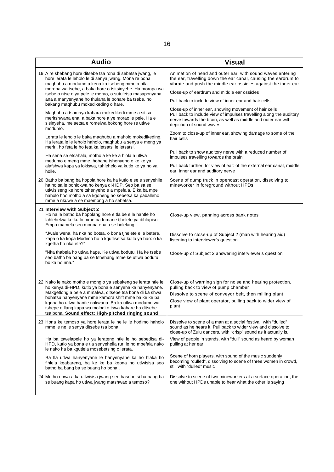| <b>Audio</b>                                                                                                                                                                                                                                                                                                                                                                                                      | <b>Visual</b>                                                                                                                                                                                                                        |
|-------------------------------------------------------------------------------------------------------------------------------------------------------------------------------------------------------------------------------------------------------------------------------------------------------------------------------------------------------------------------------------------------------------------|--------------------------------------------------------------------------------------------------------------------------------------------------------------------------------------------------------------------------------------|
| 19 A re shebang hore ditsebe tsa rona di sebetsa jwang, le<br>hore lerata le leholo le di senya jwang. Mona re bona<br>maghubu a modumo a kena ka tsebeng mme a otla<br>moropa wa tsebe, a baka hore o tsitsinyehe. Ha moropa wa<br>tsebe o ntse o ya pele le morao, o sutuletsa masaponyana                                                                                                                      | Animation of head and outer ear, with sound waves entering<br>the ear, travelling down the ear canal, causing the eardrum to<br>vibrate and push the middle ear ossicles against the inner ear                                       |
|                                                                                                                                                                                                                                                                                                                                                                                                                   | Close-up of eardrum and middle ear ossicles                                                                                                                                                                                          |
| ana a manyenyane ho thulana le bohare ba tsebe, ho<br>bakang maqhubu mokedikeding o hare.                                                                                                                                                                                                                                                                                                                         | Pull back to include view of inner ear and hair cells                                                                                                                                                                                |
| Maqhubu a tsamaya kahara mokedikedi mme a sitisa<br>meritshwana ena, a baka hore a ye morao le pele. Ha e<br>sisinyeha, melaetsa e romelwa bokong hore re utlwe<br>modumo.                                                                                                                                                                                                                                        | Close-up of inner ear, showing movement of hair cells<br>Pull back to include view of impulses travelling along the auditory<br>nerve towards the brain, as well as middle and outer ear with<br>depiction of sound waves            |
| Lerata le leholo le baka maghubu a maholo mokedikeding.<br>Ha lerata le le leholo haholo, maqhubu a senya e meng ya<br>meriri, ho feta le ho feta ka letsatsi le letsatsi.                                                                                                                                                                                                                                        | Zoom to close-up of inner ear, showing damage to some of the<br>hair cells                                                                                                                                                           |
| Ha sena se etsahala, motho a ke ke a hiola a utiwa<br>medumo e meng mme, hobane tshenyeho e ke ke ya                                                                                                                                                                                                                                                                                                              | Pull back to show auditory nerve with a reduced number of<br>impulses travelling towards the brain                                                                                                                                   |
| alafshwa kapa ya lokiswa, tahlehelo ya kutlo ke ya ho ya<br>hoile.                                                                                                                                                                                                                                                                                                                                                | Pull back further, for view of ear: of the external ear canal, middle<br>ear, inner ear and auditory nerve                                                                                                                           |
| 20 Batho ba bang ba hopola hore ka ha kutlo e se e senyehile<br>ha ho sa le bohlokwa ho kenya di-HDP. Seo ba sa se<br>utlwisiseng ke hore tshenyeho e a mpefala. E ka ba mpe<br>haholo hoo motho a sa kgoneng ho sebetsa ka paballeho<br>mme a nkuwe a se maemong a ho sebetsa.                                                                                                                                   | Scene of dump truck in opencast operation, dissolving to<br>mineworker in foreground without HPDs                                                                                                                                    |
| 21 Interview with Subject 2<br>Ho na le batho ba hopolang hore e tla be e le hantle ho<br>lahlehelwa ke kutlo mme ba fumane tjhelete ya dihlapiso.<br>Empa mamela seo monna ena a se bolelang:                                                                                                                                                                                                                    | Close-up view, panning across bank notes                                                                                                                                                                                             |
| "Jwale wena, ha nka ho botsa, o bona tihelete e le betere,<br>kapa o ka kopa Modimo ho o kgutlisetsa kutlo ya hao: o ka<br>kgetha ho nka efe?"                                                                                                                                                                                                                                                                    | Dissolve to close-up of Subject 2 (man with hearing aid)<br>listening to interviewer's question                                                                                                                                      |
| "Nka thabela ho utlwa hape. Ke utlwa bodutu. Ha ke tsebe<br>seo batho ba bang ba se tshehang mme ke utlwa bodutu<br>bo ka ho nna."                                                                                                                                                                                                                                                                                | Close-up of Subject 2 answering interviewer's question                                                                                                                                                                               |
| 22 Nako le nako motho e mong o ya sebakeng se lerata ntle le<br>ho kenya di-HPD, kutlo ya bona e senyeha ka hanyenyane.<br>Makgetlong a pele a mmalwa, ditsebe tsa bona di ka shwa<br>bohatsu hanyenyane mme kamora shift mme ba ke ke ba<br>kgona ho utlwa hantle nakwana. Ba ka utlwa modumo wa<br>tshepe e llang kapa wa molodi o tswa kahare ha ditsebe<br>tsa bona. Sound effect: High-pitched ringing sound | Close-up of warning sign for noise and hearing protection,<br>pulling back to view of pump chamber<br>Dissolve to scene of conveyor belt, then milling plant<br>Close view of plant operator, pulling back to wider view of<br>plant |
| 23 Hona ke temoso ya hore lerata le ne le le hodimo haholo<br>mme le ne le senya ditsebe tsa bona.                                                                                                                                                                                                                                                                                                                | Dissolve to scene of a man at a social festival, with "dulled"<br>sound as he hears it. Pull back to wider view and dissolve to<br>close-up of Zulu dancers, with "crisp" sound as it actually is.                                   |
| Ha ba tswelapele ho ya lerateng ntle le ho sebedisa di-<br>HPD, kutlo ya bona e tla senyehella ruri le ho mpefala nako<br>le nako ha ba kgutlela mosebetsing o lerata.                                                                                                                                                                                                                                            | View of people in stands, with "dull" sound as heard by woman<br>pulling at her ear                                                                                                                                                  |
| Ba tla utlwa hanyenyane le hanyenyane ka ho hlaka ho<br>fihlela kgabareng, ba ke ke ba kgona ho utlwisisa seo<br>batho ba bang ba se buang ho bona                                                                                                                                                                                                                                                                | Scene of horn players, with sound of the music suddenly<br>becoming "dulled", dissolving to scene of three women in crowd,<br>still with "dulled" music                                                                              |
| 24 Motho enwa a ka utlwisisa jwang seo basebetsi ba bang ba<br>se buang kapa ho utlwa jwang matshwao a temoso?                                                                                                                                                                                                                                                                                                    | Dissolve to scene of two mineworkers at a surface operation, the<br>one without HPDs unable to hear what the other is saying                                                                                                         |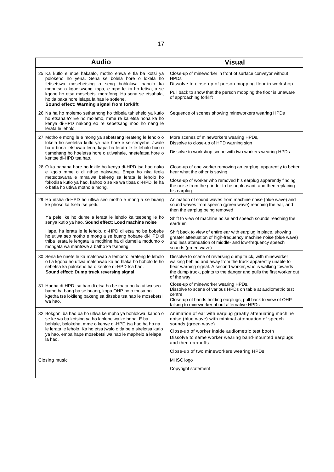| <b>Audio</b>                                                                                                                                                                                                                                                                                                                                                                     | <b>Visual</b>                                                                                                                                                                                                                                                                                                           |
|----------------------------------------------------------------------------------------------------------------------------------------------------------------------------------------------------------------------------------------------------------------------------------------------------------------------------------------------------------------------------------|-------------------------------------------------------------------------------------------------------------------------------------------------------------------------------------------------------------------------------------------------------------------------------------------------------------------------|
| 25 Ka kutlo e mpe hakaalo, motho enwa e tla ba kotsi ya<br>polokeho ho yena. Sena se bolela hore o lokela ho<br>fetisetswa mosebetsing o seng bohlokwa haholo ka<br>moputso o kgaotsweng kapa, e mpe le ka ho fetisa, a se<br>kgone ho etsa mosebetsi morafong. Ha sena se etsahala,<br>ho tla baka hore lelapa la hae le sotlehe.<br>Sound effect: Warning signal from forklift | Close-up of mineworker in front of surface conveyor without<br><b>HPDs</b><br>Dissolve to close-up of person mopping floor in workshop<br>Pull back to show that the person mopping the floor is unaware<br>of approaching forklift                                                                                     |
| 26 Na ha ho molemo sethathong ho thibela tahlehelo ya kutlo<br>ho etsahala? Ee ho molemo, mme re ka etsa hona ka ho<br>kenya di-HPD nakong eo re sebetsang moo ho nang le<br>lerata le leholo.                                                                                                                                                                                   | Sequence of scenes showing mineworkers wearing HPDs                                                                                                                                                                                                                                                                     |
| 27 Motho e mong le e mong ya sebetsang lerateng le leholo o<br>lokela ho sireletsa kutlo ya hae hore e se senyehe. Jwale<br>ha o bona letshwao lena, kapa ha lerata le le leholo hoo o<br>tlamehang ho hoeletsa hore o utlwahale, nnetefatsa hore o<br>kentse di-HPD tsa hao.                                                                                                    | More scenes of mineworkers wearing HPDs,<br>Dissolve to close-up of HPD warning sign<br>Dissolve to workshop scene with two workers wearing HPDs                                                                                                                                                                        |
| 28 O ka nahana hore ho lokile ho kenya di-HPD tsa hao nako<br>e kgolo mme o di nthse nakwana. Empa ho nka feela<br>metsotswana e mmalwa bakeng sa lerata le leholo ho<br>fokodisa kutlo ya hao, kahoo o se ke wa tlosa di-HPD, le ha<br>o batla ho utlwa motho e mong.                                                                                                           | Close-up of one worker removing an earplug, apparently to better<br>hear what the other is saying<br>Close-up of worker who removed his earplug apparently finding<br>the noise from the grinder to be unpleasant, and then replacing<br>his earplug                                                                    |
| 29 Ho ntsha di-HPD ho utlwa seo motho e mong a se buang<br>ke phoso ka tsela tse pedi.                                                                                                                                                                                                                                                                                           | Animation of sound waves from machine noise (blue wave) and<br>sound waves from speech (green wave) reaching the ear, and<br>then the earplug being removed                                                                                                                                                             |
| Ya pele, ke ho dumella lerata le leholo ka tsebeng le ho<br>senya kutlo ya hao. Sound effect: Loud machine noise                                                                                                                                                                                                                                                                 | Shift to view of machine noise and speech sounds reaching the<br>eardrum                                                                                                                                                                                                                                                |
| Hape, ha lerata le le leholo, di-HPD di etsa ho be bobebe<br>ho utlwa seo motho e mong a se buang hobane di-HPD di<br>thiba lerata le lengata la motjhine ha di dumella modumo o<br>mongata wa mantswe a batho ka tsebeng.                                                                                                                                                       | Shift back to view of entire ear with earplug in place, showing<br>greater attenuation of high-frequency machine noise (blue wave)<br>and less attenuation of middle- and low-frequency speech<br>sounds (green wave)                                                                                                   |
| 30 Sena ke nnete le ka matshwao a temoso: lerateng le leholo<br>o tla kgona ho utlwa matshwao ka ho hlaka ho hoholo le ho<br>sebetsa ka polokeho ha o kentse di-HPD tsa hao.<br>Sound effect: Dump truck reversing signal                                                                                                                                                        | Dissolve to scene of reversing dump truck, with mineworker<br>walking behind and away from the truck apparently unable to<br>hear warning signal. A second worker, who is walking towards<br>the dump truck, points to the danger and pulls the first worker out<br>of the way.                                         |
| 31 Haeba di-HPD tsa hao di etsa ho be thata ho ka utlwa seo<br>batho ba bang ba se buang, kopa OHP ho o thusa ho<br>kgetha tse lokileng bakeng sa ditsebe tsa hao le mosebetsi<br>wa hao.                                                                                                                                                                                        | Close-up of mineworker wearing HPDs.<br>Dissolve to scene of various HPDs on table at audiometric test<br>centre<br>Close-up of hands holding earplugs; pull back to view of OHP<br>talking to mineworker about alternative HPDs                                                                                        |
| 32 Bokgoni ba hao ba ho utlwa ke mpho ya bohlokwa, kahoo o<br>se ke wa ba kotsing ya ho lahlehelwa ke bona. E ba<br>bohlale, bolokeha, mme o kenye di-HPD tsa hao ha ho na<br>le lerata le leholo. Ka ho etsa jwalo o tla be o sireletsa kutlo<br>ya hao, empa hape mosebetsi wa hao le maphelo a lelapa<br>la hao.                                                              | Animation of ear with earplug greatly attenuating machine<br>noise (blue wave) with minimal attenuation of speech<br>sounds (green wave)<br>Close-up of worker inside audiometric test booth<br>Dissolve to same worker wearing band-mounted earplugs,<br>and then earmuffs<br>Close-up of two mineworkers wearing HPDs |
| Closing music                                                                                                                                                                                                                                                                                                                                                                    | MHSC logo<br>Copyright statement                                                                                                                                                                                                                                                                                        |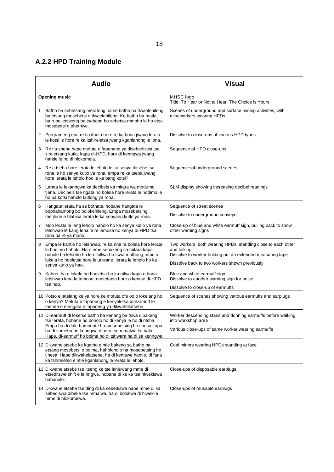# **A.2.2 HPD Training Module**

|   | <b>Audio</b>                                                                                                                                                                                                                                                                                        | <b>Visual</b>                                                                                                                                                                             |
|---|-----------------------------------------------------------------------------------------------------------------------------------------------------------------------------------------------------------------------------------------------------------------------------------------------------|-------------------------------------------------------------------------------------------------------------------------------------------------------------------------------------------|
|   | <b>Opening music</b>                                                                                                                                                                                                                                                                                | MHSC logo<br>Title: To Hear or Not to Hear: The Choice is Yours                                                                                                                           |
| 1 | Batho ba sebetsang merafong ha se batho ba tlwaelehileng<br>ba etsang mosebetsi o tlwaelehileng. Ke batho ba matla,<br>ba rupelletsweng ba tsebang ho sebetsa mmoho le ho etsa<br>mosebetsi o phethwe.                                                                                              | Scenes of underground and surface mining activities, with<br>mineworkers wearing HPDs                                                                                                     |
|   | 2 Programeng ena re tla ithuta hore re ka bona jwang lerata<br>le kotsi le hore re ka itshireletsa jwang kgahlanong le lona.                                                                                                                                                                        | Dissolve to close-ups of various HPD types                                                                                                                                                |
| 3 | Re tla sheba hape mefuta e fapaneng ya disebediswa tse<br>sireletsang kutlo, kapa di-HPD, hore di kenngwa jwang<br>hantle le ho di hlokomela.                                                                                                                                                       | Sequence of HPD close-ups                                                                                                                                                                 |
| 4 | Re a tseba hore lerata le leholo le ka senya ditsebe tsa<br>rona le ho senya kutlo ya rona, empa re ka tseba jwang<br>hore lerata le leholo hoo le ka bang kotsi?                                                                                                                                   | Sequence of underground scenes                                                                                                                                                            |
| 5 | Lerata le lekanngwa ka decibels ka mitara wa modumo<br>tjena. Decibels tse ngata ho bolela hore lerata le hodimo le<br>ho ba kotsi haholo kutlong ya rona.                                                                                                                                          | SLM display showing increasing decibel readings                                                                                                                                           |
| 6 | Hangata lerata ha se bothata, hobane hangata le<br>bophahamong bo bolokehileng. Empa mosebetsing,<br>metihine e hlahisa lerata le ka senyang kutlo ya rona.                                                                                                                                         | Sequence of street scenes<br>Dissolve to underground conveyor                                                                                                                             |
| 7 | Moo lerata le leng leholo haholo ho ka senya kutlo ya rona,<br>letshwao le kang lena le re lemosa ho kenya di-HPD tsa<br>rona ha re ya mono.                                                                                                                                                        | Close-up of blue and white earmuff sign, pulling back to show<br>other warning signs                                                                                                      |
| 8 | Empa le kantle ho letshwao, re ka nna ra bolela hore lerata<br>le hodimo haholo. Ha o eme sebakeng sa mitara kapa<br>bohole ba letsoho ha le otlollwa ho tswa mothong mme o<br>lokela ho hoeletsa hore le utlwane, lerata le leholo ho ka<br>senya kutlo ya hao.                                    | Two workers, both wearing HPDs, standing close to each other<br>and talking<br>Dissolve to worker holding out an extended measuring tape<br>Dissolve back to two workers shown previously |
| 9 | Kahoo, ha o lokela ho hoeletsa ho ka utlwa kapa o bona<br>letshwao lena la temoso, nnetefatsa hore o kentse di-HPD<br>tsa hao.                                                                                                                                                                      | Blue and white earmuff sign<br>Dissolve to another warning sign for noise<br>Dissolve to close-up of earmuffs                                                                             |
|   | 10 Potso e latelang ke ya hore ke mofuta ofe oo o lokelang ho<br>o kenya? Mefuta e fapaneng e kenyeletsa di-earmuff le<br>mefuta e mengata e fapaneng ya dikwahelatsebe.                                                                                                                            | Sequence of scenes showing various earmuffs and earplugs                                                                                                                                  |
|   | 11 Di-earmuff di loketse batho ba kenang ba tswa dibakeng<br>tse lerata, hobane ho bonolo ho di kenya le ho di ntsha.<br>Empa ha di dule hamonate ha mosebetsing ho tihesa kapa<br>ha di tlameha ho kenngwa dihora tse mmalwa ka nako.<br>Hape, di-earmuff ho boima ho di tshwara ha di sa kenngwa. | Worker descending stairs and donning earmuffs before walking<br>into workshop area<br>Various close-ups of same worker wearing earmuffs                                                   |
|   | 12 Dikwahelatsebe ke kgetho e ntle bakeng sa batho ba<br>etsang mosebetsi o boima, haholoholo ha mosebetsing ho<br>tihesa. Hape dikwahelatsebe, ha di kentswe hantle, di fana<br>ka tshireletso e ntle kgahlanong le lerata le leholo.                                                              | Coal miners wearing HPDs standing at face                                                                                                                                                 |
|   | 13 Dikwahelatsebe tse itseng ke tse lahluwang mme di<br>etseditswe shift e le nngwe, hobane di ke ke tsa hlwekiswa<br>habonolo.                                                                                                                                                                     | Close-ups of disposable earplugs                                                                                                                                                          |
|   | 14 Dikwahelatsebe tse ding di ka sebediswa hape mme di ka<br>sebediswa dibeke tse mmalwa, ha di bolokwa di hlwekile<br>mme di hlokomelwa.                                                                                                                                                           | Close-ups of reusable earplugs                                                                                                                                                            |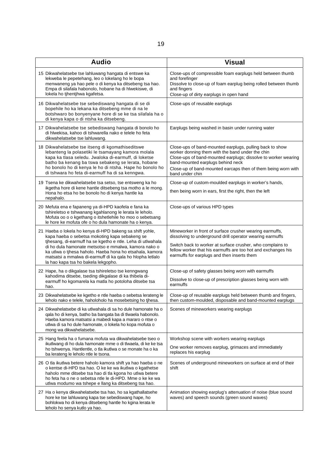| <b>Audio</b>                                                                                                                                                                                                                                                                                                                                                                                      | <b>Visual</b>                                                                                                                                                                                                                                                                                           |
|---------------------------------------------------------------------------------------------------------------------------------------------------------------------------------------------------------------------------------------------------------------------------------------------------------------------------------------------------------------------------------------------------|---------------------------------------------------------------------------------------------------------------------------------------------------------------------------------------------------------------------------------------------------------------------------------------------------------|
| 15 Dikwahelatsebe tse lahluwang hangata di entswe ka<br>lekweba le pepetehang, leo o lokelang ho le bopa<br>menwaneng ya hao pele o di kenya ka ditsebeng tsa hao.<br>Empa di silafala habonolo, hobane ha di hlwekiswe, di<br>lokela ho tjhentjhwa kgafetsa.                                                                                                                                     | Close-ups of compressible foam earplugs held between thumb<br>and forefinger<br>Dissolve to close-up of foam earplug being rolled between thumb<br>and fingers<br>Close-up of dirty earplugs in open hand                                                                                               |
| 16 Dikwahelatsebe tse sebediswang hangata di se di<br>bopehile ho ka lekana ka ditsebeng mme di na le<br>botshwaro bo bonyenyane hore di se ke tsa silafala ha o<br>di kenya kapa o di ntsha ka ditsebeng.                                                                                                                                                                                        | Close-ups of reusable earplugs                                                                                                                                                                                                                                                                          |
| 17 Dikwahelatsebe tse sebediswang hangata di bonolo ho<br>di hlwekisa, kahoo di tshwarella nako e telele ho feta<br>dikwahelatsebe tse lahluwang.                                                                                                                                                                                                                                                 | Earplugs being washed in basin under running water                                                                                                                                                                                                                                                      |
| 18 Dikwahelatsebe tse itseng di kgomathiseditswe<br>lebanteng la polasetiki le tsamayang kamora molala<br>kapa ka tlasa seledu. Jwaloka di-earmuff, di loketse<br>batho ba kenang ba tswa sebakeng se lerata, hobane<br>ho bonolo ho di kenya le ho di ntsha. Hape ho bonolo ho<br>di tshwara ho feta di-earmuff ha di sa kenngwa.                                                                | Close-ups of band-mounted earplugs, pulling back to show<br>worker donning them with the band under the chin<br>Close-ups of band-mounted earplugs; dissolve to worker wearing<br>band-mounted earplugs behind neck<br>Close-up of band-mounted earcaps then of them being worn with<br>band under chin |
| 19 Tsena ke dikwahelatsebe tsa setso, tse entsweng ka ho<br>ikgetha hore di kene hantle ditsebeng tsa motho a le mong.<br>Hona ho etsa ho be bonolo ho di kenya hantle ka<br>nepahalo.                                                                                                                                                                                                            | Close-up of custom-moulded earplugs in worker's hands,<br>then being worn in ears, first the right, then the left                                                                                                                                                                                       |
| 20 Mefuta ena e fapaneng ya di-HPD kaofela e fana ka<br>tshireletso e tshwanang kgahlanong le lerata le leholo.<br>Mofuta oo o o kgethang o itshetlehile ho moo o sebetsang<br>le hore ke mofuta ofe o ho dula hamonate ha o kenya.                                                                                                                                                               | Close-ups of various HPD types                                                                                                                                                                                                                                                                          |
| 21 Haeba o lokela ho kenya di-HPD bakeng sa shift yohle,<br>kapa haeba o sebetsa mokoting kapa sebakeng se<br>tjhesang, di-earmuff ha se kgetho e ntle. Leha di utlwahala<br>di ho dula hamonate metsotso e mmalwa, kamora nako o<br>ka utlwa o tjhesa haholo. Haeba hona ho etsahala, kamora<br>matsatsi a mmalwa di-earmuff di ka gala ho hlopha letlalo<br>la hao kapa tsa ho bakela lekgopho. | Mineworker in front of surface crusher wearing earmuffs,<br>dissolving to underground drill operator wearing earmuffs<br>Switch back to worker at surface crusher, who complains to<br>fellow worker that his earmuffs are too hot and exchanges his<br>earmuffs for earplugs and then inserts them     |
| 22 Hape, ha o dikgalase tsa tshireletso tse kenngwang<br>kahodima ditsebe, tseding dikgalase di ka thibela di-<br>earmuff ho kgomarela ka matla ho potoloha ditsebe tsa<br>hao.                                                                                                                                                                                                                   | Close-up of safety glasses being worn with earmuffs<br>Dissolve to close-up of prescription glasses being worn with<br>earmuffs                                                                                                                                                                         |
| 23 Dikwahelatsebe ke kgetho e ntle haeba o sebetsa lerateng le<br>leholo nako e telele, haholoholo ha mosebetsing ho tjhesa.                                                                                                                                                                                                                                                                      | Close-up of reusable earplugs held between thumb and fingers,<br>then custom-moulded, disposable and band-mounted earplugs                                                                                                                                                                              |
| 24  Dikwahelatsebe di ka utlwahala di sa ho dule hamonate ha o<br>qala ho di kenya, batho ba bangata ba di tlwaela habonolo.<br>Haeba kamora matsatsi a mabedi kapa a mararo o ntse o<br>utlwa di sa ho dule hamonate, o lokela ho kopa mofuta o<br>mong wa dikwahelatsebe.                                                                                                                       | Scenes of mineworkers wearing earplugs                                                                                                                                                                                                                                                                  |
| 25 Hang feela ha o fumana mofuta wa dikwahelatsebe tseo o<br>ikutlwang di ho dula hamonate mme o di tlwaela, di ke ke tsa<br>ho tshwenya. Hantlentle, o tla ikutlwa o se monate ha o ka<br>ba lerateng le leholo ntle le tsona.                                                                                                                                                                   | Workshop scene with workers wearing earplugs<br>One worker removes earplug, grimaces and immediately<br>replaces his earplug                                                                                                                                                                            |
| 26 O tla ikutlwa betere haholo kamora shift ya hao haeba o ne<br>o kentse di-HPD tsa hao. O ke ke wa ikutlwa o kgathetse<br>haholo mme ditsebe tsa hao di tla kgona ho utlwa betere<br>ho feta ha o ne o sebetsa ntle le di-HPD. Mme o ke ke wa<br>utlwa modumo wa tshepe e llang ka ditsebeng tsa hao.                                                                                           | Scenes of underground mineworkers on surface at end of their<br>shift                                                                                                                                                                                                                                   |
| 27 Ha o kenya dikwahelatsebe tsa hao, ho sa kgathallatsehe<br>hore ke tse lahluwang kapa tse sebediswang hape, ho<br>bohlokwa ho di kenya ditsebeng hantle ho kgina lerata le<br>leholo ho senya kutlo ya hao.                                                                                                                                                                                    | Animation showing earplug's attenuation of noise (blue sound<br>waves) and speech sounds (green sound waves)                                                                                                                                                                                            |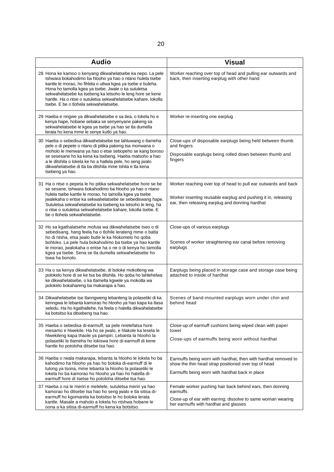| <b>Audio</b>                                                                                                                                                                                                                                                                                                                                                                                                       | <b>Visual</b>                                                                                                                                                                       |
|--------------------------------------------------------------------------------------------------------------------------------------------------------------------------------------------------------------------------------------------------------------------------------------------------------------------------------------------------------------------------------------------------------------------|-------------------------------------------------------------------------------------------------------------------------------------------------------------------------------------|
| 28 Hona ke kamoo o kenyang dikwahelatsebe ka nepo. La pele<br>tshwara bokahodimo ba hlooho ya hao o ntano hulela tsebe<br>kantle le morao, ho fihlela o utlwa kgea ya tsebe e buleha.<br>Hona ho tamolla kgea ya tsebe. Jwale o ka sutuletsa<br>sekwahelatsebe ka tsebeng ka letsoho le leng hore se kene<br>hantle. Ha o ntse o sutuletsa sekwahelatsebe kahare, lokolla<br>tsebe. E be o tlohela sekwahelatsebe. | Worker reaching over top of head and pulling ear outwards and<br>back, then inserting earplug with other hand                                                                       |
| 29 Haeba e nngwe ya dikwahelatsebe e sa tiea, o lokela ho e<br>kenya hape, hobane sebaka se senyenyane pakeng sa<br>sekwahelatsebe le kgea ya tsebe ya hao se tla dumella<br>lerata ho kena mme le senye kutlo ya hao.                                                                                                                                                                                             | Worker re-inserting one earplug                                                                                                                                                     |
| 30 Haeba o sebedisa dikwahelatsebe tse lahluwang o tlameha<br>pele o di pepete o ntano di pitika pakeng tsa monwana o<br>moholo le menwana ya hao o etse sebopeho se kang boroso<br>se sesesane ho ka kena ka tsebeng. Haeba matsoho a hao<br>a le ditshila o lokela ke ho a hatlela pele, ho seng jwalo<br>dikwahelatsebe di tla ba ditshila mme tshila e tla kena<br>tsebeng ya hao.                             | Close-ups of disposable earplugs being held between thumb<br>and fingers<br>Disposable earplugs being rolled down between thumb and<br>fingers                                      |
| 31 Ha o ntse o pepeta le ho pitika sekwahelatsebe hore se be<br>se sesane, tshwara bokahodimo ba hlooho ya hao o ntano<br>hulela tsebe kantle le morao, ho tamolla kgea ya tsebe<br>jwalekaha o entse ka sekwahelatsebe se sebediswang hape.<br>Sutuletsa sekwahelatsebe ka tsebeng ka letsoho le leng, ha<br>o ntse o sutuletsa sekwahelatsebe kahare, lokolla tsebe. E<br>be o tlohela sekwahelatsebe.           | Worker reaching over top of head to pull ear outwards and back<br>Worker inserting reusable earplug and pushing it in, releasing<br>ear, then releasing earplug and donning hardhat |
| 32 Ho sa kgathalatsehe mofuta wa dikwahelatsebe tseo o di<br>sebedisang, hang feela ha o tlohile lerateng mme o batla<br>ho di ntsha, etsa jwalo butle le ka hlokomelo ho qoba<br>bohloko. La pele hula bokahodimo ba tsebe ya hao kantle<br>le morao, jwalokaha o entse ha o ne o di kenya ho tamolla<br>kgea ya tsebe. Sena se tla dumella sekwahelatsebe ho<br>tswa ha bonolo.                                  | Close-ups of various earplugs<br>Scenes of worker straightening ear canal before removing<br>earplugs                                                                               |
| 33 Ha o sa kenya dikwahelatsebe, di boloke mokotleng wa<br>polokelo hore di se ke tsa ba ditshila. Ho qoba ho lahlehelwa<br>ke dikwahelatsebe, o ka tlamella kgwele ya mokotla wa<br>polokelo bokahareng ba makarapa a hao.                                                                                                                                                                                        | Earplugs being placed in storage case and storage case being<br>attached to inside of hardhat                                                                                       |
| 34 Dikwahelatsebe tse tlanngweng lebanteng la polasetiki di ka<br>kenngwa le lebanta kamorao ho hlooho ya hao kapa ka tlasa<br>seledu. Ha ho kgathallehe, ha feela o hatella dikwahelatsebe<br>ka botsitso ka ditsebeng tsa hao.                                                                                                                                                                                   | Scenes of band-mounted earplugs worn under chin and<br>behind head                                                                                                                  |
| 35 Haeba o sebedisa di-earmuff, sa pele nnetefatsa hore<br>mesamo e hlwekile. Ha ho se jwalo, e hlakole ka lesela le<br>hlwekileng kapa thaole ya pampiri. Lebanta la hlooho la<br>polasetiki le tlameha ho lokiswa hore di-earmuff di kene<br>hantle ho potoloha ditsebe tsa hao.                                                                                                                                 | Close-up of earmuff cushions being wiped clean with paper<br>towel<br>Close-ups of earmuffs being worn without hardhat                                                              |
| 36 Haeba o rwala makarapa, lebanta la hlooho le lokela ho ba<br>kahodimo ha hlooho ya hao ho boloka di-earmuff di le<br>tulong ya tsona, mme lebanta la hlooho la polasetiki le<br>lokela ho ba kamorao ho hlooho ya hao ho hatella di-<br>earmuff hore di tsetse ho potoloha ditsebe tsa hao.                                                                                                                     | Earmuffs being worn with hardhat, then with hardhat removed to<br>show the thin head strap positioned over top of head<br>Earmuffs being worn with hardhat back in place            |
| 37 Haeba o na le meriri e melelele, sutuletsa meriri ya hao<br>kamorao ho ditsebe tsa hao ho seng jwalo e tla sitisa di-<br>earmuff ho kgomarela ka botsitso le ho boloka lerata<br>kantle. Masale a maholo a lokela ho ntshwa hobane le<br>oona a ka sitisa di-earmuff ho kena ka botsitso.                                                                                                                       | Female worker pushing hair back behind ears, then donning<br>earmuffs<br>Close-up of ear with earring; dissolve to same woman wearing<br>her earmuffs with hardhat and glasses      |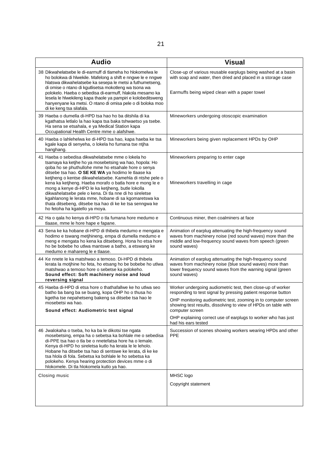| <b>Audio</b>                                                                                                                                                                                                                                                                                                                                                                                                                                                                                                                                                                                                            | <b>Visual</b>                                                                                                                                                                                                                                                                                                                                                               |
|-------------------------------------------------------------------------------------------------------------------------------------------------------------------------------------------------------------------------------------------------------------------------------------------------------------------------------------------------------------------------------------------------------------------------------------------------------------------------------------------------------------------------------------------------------------------------------------------------------------------------|-----------------------------------------------------------------------------------------------------------------------------------------------------------------------------------------------------------------------------------------------------------------------------------------------------------------------------------------------------------------------------|
| 38 Dikwahelatsebe le di-earmuff di tlameha ho hlokomelwa le<br>ho bolokwa di hlwekile. Mafelong a shift e nngwe le e nngwe<br>hlatswa dikwahelatsebe ka sesepa le metsi a futhumetseng,<br>di omise o ntano di kgutlisetsa mokotleng wa tsona wa<br>polokelo. Haeba o sebedisa di-earmuff, hlakola mesamo ka<br>lesela le hlwekileng kapa thaole ya pampiri e kolobeditsweng<br>hanyenyane ka metsi. O ntano di omisa pele o di boloka moo<br>di ke keng tsa silafala.                                                                                                                                                  | Close-up of various reusable earplugs being washed at a basin<br>with soap and water, then dried and placed in a storage case<br>Earmuffs being wiped clean with a paper towel                                                                                                                                                                                              |
| 39 Haeba o dumella di-HPD tsa hao ho ba ditshila di ka<br>kgathatsa letlalo la hao kapa tsa baka tshwaetso ya tsebe.<br>Ha sena se etsahala, e ya Medical Station kapa<br>Occupational Health Centre mme o alafshwe.                                                                                                                                                                                                                                                                                                                                                                                                    | Mineworkers undergoing otoscopic examination                                                                                                                                                                                                                                                                                                                                |
| 40 Haeba o lahlehelwa ke di-HPD tsa hao, kapa haeba ke tsa<br>kgale kapa di senyeha, o lokela ho fumana tse ntjha<br>hanghang.                                                                                                                                                                                                                                                                                                                                                                                                                                                                                          | Mineworkers being given replacement HPDs by OHP                                                                                                                                                                                                                                                                                                                             |
| 41 Haeba o sebedisa dikwahelatsebe mme o lokela ho<br>tsamaya ka ketjhe ho ya mosebetsing wa hao, hopola: Ho<br>goba ho se phuthullohe mme ho etsahale hore o senya<br>ditsebe tsa hao. O SE KE WA ya hodimo le tlaase ka<br>ketjheng o kentse dikwahelatsebe. Kamehla di ntshe pele o<br>kena ka ketjheng. Haeba morafo o batla hore e mong le e<br>mong a kenye di-HPD le ka ketjheng, butle lokolla<br>dikwahelatsebe pele o kena. Di tla nne di ho sireletse<br>kgahlanong le lerata mme, hobane di sa kgomaretswa ka<br>thata ditsebeng, ditsebe tsa hao di ke ke tsa senngwa ke<br>ho fetoha ha kgatello ya moya. | Mineworkers preparing to enter cage<br>Mineworkers travelling in cage                                                                                                                                                                                                                                                                                                       |
| 42 Ha o gala ho kenya di-HPD o tla fumana hore medumo e<br>tlaase, mme le hore hape e fapane.                                                                                                                                                                                                                                                                                                                                                                                                                                                                                                                           | Continuous miner, then coalminers at face                                                                                                                                                                                                                                                                                                                                   |
| 43 Sena ke ka hobane di-HPD di thibela medumo e mengata e<br>hodimo e tswang metjhineng, empa di dumella medumo e<br>meng e mengata ho kena ka ditsebeng. Hona ho etsa hore<br>ho be bobebe ho utlwa mantswe a batho, a etswang ke<br>medumo e mahareng le e tlaase.                                                                                                                                                                                                                                                                                                                                                    | Animation of earplug attenuating the high-frequency sound<br>waves from machinery noise (red sound waves) more than the<br>middle and low-frequency sound waves from speech (green<br>sound waves)                                                                                                                                                                          |
| 44 Ke nnete le ka matshwao a temoso. Di-HPD di thibela<br>lerata la motjhine ho feta, ho etsang ho be bobebe ho utlwa<br>matshwao a temoso hore o sebetse ka polokeho.<br>Sound effect: Soft machinery noise and loud<br>reversing signal                                                                                                                                                                                                                                                                                                                                                                               | Animation of earplug attenuating the high-frequency sound<br>waves from machinery noise (blue sound waves) more than<br>lower frequency sound waves from the warning signal (green<br>sound waves)                                                                                                                                                                          |
| 45 Haeba di-HPD di etsa hore o thathafallwe ke ho utlwa seo<br>batho ba bang ba se buang, kopa OHP ho o thusa ho<br>kgetha tse nepahetseng bakeng sa ditsebe tsa hao le<br>mosebetsi wa hao.<br>Sound effect: Audiometric test signal                                                                                                                                                                                                                                                                                                                                                                                   | Worker undergoing audiometric test, then close-up of worker<br>responding to test signal by pressing patient response button<br>OHP monitoring audiometric test, zooming in to computer screen<br>showing test results, dissolving to view of HPDs on table with<br>computer screen<br>OHP explaining correct use of earplugs to worker who has just<br>had his ears tested |
| 46 Jwalokaha o tseba, ho ka ba le dikotsi tse ngata<br>mosebetsing, empa ha o sebetsa ka bohlale me o sebedisa<br>di-PPE tsa hao o tla be o nnetefatsa hore ha o lemale.<br>Kenya di-HPD ho sireletsa kutlo ha lerata le le leholo.<br>Hobane ha ditsebe tsa hao di sentswe ke lerata, di ke ke<br>tsa hiola di fola. Sebetsa ka bohlale le ho sebetsa ka<br>polokeho. Kenya hearing protection devices mme o di<br>hlokomele. Di tla hlokomela kutlo ya hao.                                                                                                                                                           | Succession of scenes showing workers wearing HPDs and other<br><b>PPE</b>                                                                                                                                                                                                                                                                                                   |
| Closing music                                                                                                                                                                                                                                                                                                                                                                                                                                                                                                                                                                                                           | MHSC logo<br>Copyright statement                                                                                                                                                                                                                                                                                                                                            |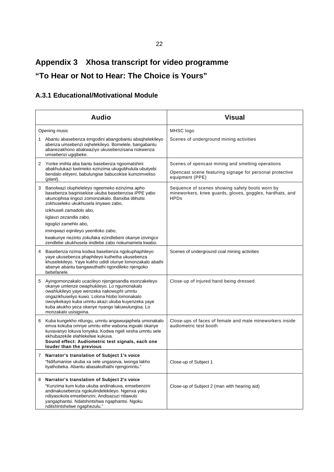# **Appendix 3 Xhosa transcript for video programme "To Hear or Not to Hear: The Choice is Yours"**

## **A.3.1 Educational/Motivational Module**

|   | <b>Audio</b>                                                                                                                                                                                                                                                                                                                       | <b>Visual</b>                                                                                                                    |
|---|------------------------------------------------------------------------------------------------------------------------------------------------------------------------------------------------------------------------------------------------------------------------------------------------------------------------------------|----------------------------------------------------------------------------------------------------------------------------------|
|   | Opening music                                                                                                                                                                                                                                                                                                                      | MHSC logo                                                                                                                        |
|   | 1 Abantu abasebenza emgodini abangobantu abaqhelekileyo<br>abenza umsebenzi oqhelekileyo. Bomelele, bangabantu<br>abanezakhono abakwaziyo ukusebenzisana nokwenza<br>umsebenzi ugqibeke.                                                                                                                                           | Scenes of underground mining activities                                                                                          |
| 2 | Yonke imihla aba bantu basebenza ngoomatshini<br>abakhulukazi kwiimeko ezinzima ukugubhulula ubutyebi<br>bendalo elityeni, babulungise babucokise kumzimveliso<br>(plant).                                                                                                                                                         | Scenes of opencast mining and smelting operations<br>Opencast scene featuring signage for personal protective<br>equipment (PPE) |
| 3 | Banolwazi olupheleleyo ngeemeko ezinzima apho<br>basebenza baqinisekise ukuba basebenzisa iPPE yabo<br>ukunciphisa iingozi zomonzakalo. Banxiba iibhutsi<br>zokhuseleko ukukhusela iinyawo zabo,                                                                                                                                   | Sequence of scenes showing safety boots worn by<br>mineworkers, knee guards, gloves, goggles, hardhats, and<br><b>HPDs</b>       |
|   | izikhuseli zamadolo abo,                                                                                                                                                                                                                                                                                                           |                                                                                                                                  |
|   | iiglavzi zezandla zabo,<br>iigoglizi zamehlo abo,                                                                                                                                                                                                                                                                                  |                                                                                                                                  |
|   | imingwazi eginileyo yeentloko zabo,                                                                                                                                                                                                                                                                                                |                                                                                                                                  |
|   | kwakunye nezinto zokufaka ezindlebeni okanye izivingco<br>zendlebe ukukhusela jindlebe zabo nokumamela kwabo.                                                                                                                                                                                                                      |                                                                                                                                  |
| 4 | Basebenza nzima kodwa basebenza ngokuphaphileyo<br>yaye ukusebenza phaphileyo kuthetha ukusebenza<br>khuselekileyo. Yaye kukho udidi olunye lomonzakalo abathi<br>abanye abantu bangawuthathi ngondileko njengoko<br>bebefanele.                                                                                                   | Scenes of underground coal mining activities                                                                                     |
| 5 | Ayingomonzakalo ucacileyo njengesandla esonzakeleyo<br>okanye umlenze owaphukileyo. Lo ngumonakalo<br>owahlukileyo yaye wenzeka nakowuphi umntu<br>ongazikhuseliyo kuwo. Lolona hlobo lomonakalo<br>owoyikekayo kuba umntu akazi ukuba kuyenzeka yaye<br>kuba akukho yeza okanye nyango lakuwulungisa. Lo<br>monzakalo usisigxina. | Close-up of injured hand being dressed                                                                                           |
| 6 | Kuba kungekho ntlungu, umntu angawuqaphela umonakalo<br>emva kokuba omnye umntu ethe wabona ingxaki okanye<br>kuvavanyo lokuva lonyaka. Kodwa ngeli xesha umntu sele<br>ekhubazekile elahlekelwe kukuva.<br>Sound effect: Audiometric test signals, each one<br>louder than the previous                                           | Close-ups of faces of female and male mineworkers inside<br>audiometric test booth                                               |
|   | 7 Narrator's translation of Subject 1's voice                                                                                                                                                                                                                                                                                      |                                                                                                                                  |
|   | "Ndifumanise ukuba xa sele ungaseva, iwonga lakho<br>liyathobeka. Abantu abasakuthathi njengomntu."                                                                                                                                                                                                                                | Close-up of Subject 1                                                                                                            |
| 8 | Narrator's translation of Subject 2's voice                                                                                                                                                                                                                                                                                        |                                                                                                                                  |
|   | "Kunzima kum kuba ukuba andinakuva, emsebenzini<br>andinakusebenza ngokulindelekileyo. Ngenxa yoku<br>ndiyasokola emsebenzini. Andisazuzi ntlawulo<br>yangaphantsi. Ndatshintshwa ngaphantsi. Ngoku<br>nditshintshelwe ngaphezulu."                                                                                                | Close-up of Subject 2 (man with hearing aid)                                                                                     |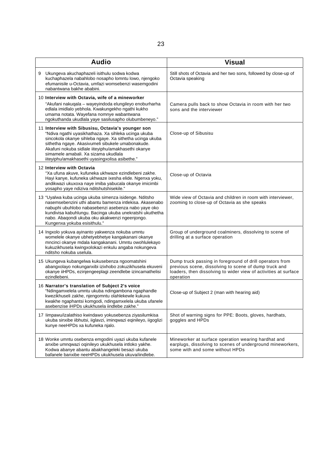| <b>Audio</b>                                                                                                                                                                                                                                                                                                                                                                | <b>Visual</b>                                                                                                                                                                                     |
|-----------------------------------------------------------------------------------------------------------------------------------------------------------------------------------------------------------------------------------------------------------------------------------------------------------------------------------------------------------------------------|---------------------------------------------------------------------------------------------------------------------------------------------------------------------------------------------------|
| Ukungeva akuchaphazeli isithulu sodwa kodwa<br>9<br>kuchaphazela nabahlobo nosapho lomntu lowo, njengoko<br>efumanisile u-Octavia, umfazi womsebenzi wasemgodini<br>nabantwana bakhe ababini.                                                                                                                                                                               | Still shots of Octavia and her two sons, followed by close-up of<br>Octavia speaking                                                                                                              |
| 10 Interview with Octavia, wife of a mineworker<br>"Akufani nakuqala – wayeyindoda elungileyo enoburharha<br>edlala imidlalo yebhola. Kwakungekho ngathi kukho<br>umama notata. Wayefana nomnye wabantwana<br>ngokuthanda ukudlala yaye sasilusapho olubumbeneyo."                                                                                                          | Camera pulls back to show Octavia in room with her two<br>sons and the interviewer                                                                                                                |
| 11 Interview with Sibusisu, Octavia's younger son<br>"Ndiva ngathi uyasikhathaza. Xa sihleka ucinga ukuba<br>sincokola okanye sihleba ngaye. Xa sithetha ucinga ukuba<br>sithetha ngaye. Akasivumeli sibukele umabonakude.<br>Akafuni nokuba sidlale iiteyiphu/amakhasethi okanye<br>simamele amabali. Xa sizama ukudlala<br>iiteyiphu/amakhasethi uyasingxolisa asibethe." | Close-up of Sibusisu                                                                                                                                                                              |
| 12 Interview with Octavia<br>"Xa ufuna akuve, kufuneka ukhwaze ezindlebeni zakhe.<br>Hayi kanye, kufuneka ukhwaze ixesha elide. Ngenxa yoku,<br>andikwazi ukuxoxa naye imiba yabucala okanye imicimbi<br>vosapho yaye ndiziva nditshutshisekile."                                                                                                                           | Close-up of Octavia                                                                                                                                                                               |
| 13 "Uyalwa kuba ucinga ukuba simenza isidenge. Nditsho<br>nasemsebenzini uthi abantu bamenza intlekisa. Akasenabo<br>nabuphi ubuhlobo nabasebenzi asebenza nabo yaye oko<br>kundivisa kabuhlungu. Bacinga ukuba unekratshi ukuthetha<br>nabo. Abaqondi ukuba oku akakwenzi ngeenjongo.<br>Kungenxa yokuba esisithulu."                                                      | Wide view of Octavia and children in room with interviewer,<br>zooming to close-up of Octavia as she speaks                                                                                       |
| 14 Ingxolo yokuva ayinanto yakwenza nokuba umntu<br>womelele okanye ubhetyebhetye kangakanani okanye<br>mncinci okanye mdala kangakanani. Umntu owohlulekayo<br>kukuzikhusela kwingxolokazi enkulu angaba nokungeva<br>nditsho nokuba uselula.                                                                                                                              | Group of underground coalminers, dissolving to scene of<br>drilling at a surface operation                                                                                                        |
| 15 Ukungeva kubangelwa kukusebenza ngoomatshini<br>abangxolayo nokunganxibi izixhobo zokuzikhusela ekuveni<br>okanye iiHPDs, ezinjengeeplagi zeendlebe izincamathelisi<br>ezindlebeni.                                                                                                                                                                                      | Dump truck passing in foreground of drill operators from<br>previous scene, dissolving to scene of dump truck and<br>loaders, then dissolving to wider view of activities at surface<br>operation |
| 16 Narrator's translation of Subject 2's voice<br>"Ndingamxelela umntu ukuba ndingambona ngaphandle<br>kwezikhuseli zakhe, njengomntu olahlekewle kukuva<br>kwakhe ngaphantsi komgodi, ndingamxelela ukuba ufanele<br>asebenzise iHPDs ukukhusela iindlebe zakhe."                                                                                                          | Close-up of Subject 2 (man with hearing aid)                                                                                                                                                      |
| 17 limpawu/izalathiso kwindawo yokusebenza ziyasilumkisa<br>ukuba sinxibe iibhutsi, iiglavzi, iminqwazi eqinileyo, iigoglizi<br>kunye neeHPDs xa kufuneka njalo.                                                                                                                                                                                                            | Shot of warning signs for PPE: Boots, gloves, hardhats,<br>goggles and HPDs                                                                                                                       |
| 18 Wonke umntu osebenza emgodini uyazi ukuba kufanele<br>anxibe umnqwazi oqinileyo ukukhusela intloko yakhe.<br>Kodwa abanye abantu abakhangeleki besazi ukuba<br>bafanele banxibe neeHPDs ukukhusela ukuva/iindlebe.                                                                                                                                                       | Mineworker at surface operation wearing hardhat and<br>earplugs, dissolving to scenes of underground mineworkers,<br>some with and some without HPDs                                              |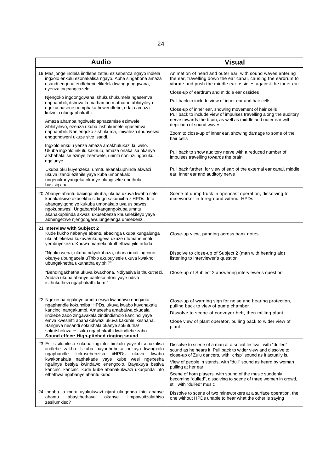| <b>Audio</b>                                                                                                                                                                                                                                                                                                       | <b>Visual</b>                                                                                                                                                                                  |
|--------------------------------------------------------------------------------------------------------------------------------------------------------------------------------------------------------------------------------------------------------------------------------------------------------------------|------------------------------------------------------------------------------------------------------------------------------------------------------------------------------------------------|
| 19 Masijonge indlela iindlebe zethu ezisebenza ngayo indlela<br>ingxolo enkulu ezonakalisa ngayo. Apha singabona amaza<br>esandi engena endlebeni efikelela kwingqongqwana,<br>eyenza ingcangcazele.                                                                                                               | Animation of head and outer ear, with sound waves entering<br>the ear, travelling down the ear canal, causing the eardrum to<br>vibrate and push the middle ear ossicles against the inner ear |
| Njengoko ingqongqwana ishukushukumela ngasemva                                                                                                                                                                                                                                                                     | Close-up of eardrum and middle ear ossicles                                                                                                                                                    |
| naphambili, itshova la mathambo mathathu abhityileyo                                                                                                                                                                                                                                                               | Pull back to include view of inner ear and hair cells                                                                                                                                          |
| ngokuchasene nomphakathi wendlebe, edala amaza<br>kulwelo olungaphakathi.                                                                                                                                                                                                                                          | Close-up of inner ear, showing movement of hair cells<br>Pull back to include view of impulses travelling along the auditory<br>nerve towards the brain, as well as middle and outer ear with  |
| Amaza ahamba ngolwelo aphazamise ezinwele<br>zibhityileyo, ezenza ukuba zishukumele ngasemva                                                                                                                                                                                                                       | depiction of sound waves                                                                                                                                                                       |
| naphambili. Nanjengoko zishukuma, imiyalezo ithunyelwa<br>enggondweni ukuze sive isandi.                                                                                                                                                                                                                           | Zoom to close-up of inner ear, showing damage to some of the<br>hair cells                                                                                                                     |
| Ingxolo enkulu yenza amaza amakhulukazi kulwelo.<br>Ukuba ingxolo inkulu kakhulu, amaza onakalisa okanye<br>atshabalalise ezinye zeenwele, uninzi noninzi ngosuku<br>ngalunye.                                                                                                                                     | Pull back to show auditory nerve with a reduced number of<br>impulses travelling towards the brain                                                                                             |
| Ukuba oku kuyenzeka, umntu akanakuphinda akwazi<br>ukuva izandi ezithile yaye kuba umonakalo<br>ungenakunyangeka okanye ulungiseke ubuthulu<br>busisigxina.                                                                                                                                                        | Pull back further, for view of ear: of the external ear canal, middle<br>ear, inner ear and auditory nerve                                                                                     |
| 20 Abanye abantu bacinga ukuba, ukuba ukuva kwabo sele<br>konakalisiwe akusekho sidingo sakunxiba ziHPDs. Into<br>abangayigondiyo kukuba umonakalo uya usibawesi<br>ngokubawesi. Ungabambi kangangokuba umntu<br>akanakuphinda akwazi ukusebenza khuselekileyo yaye<br>abhengezwe njengongawulungelanga umsebenzi. | Scene of dump truck in opencast operation, dissolving to<br>mineworker in foreground without HPDs                                                                                              |
| 21 Interview with Subject 2<br>Kude kukho nabanye abantu abacinga ukuba kungalunga<br>ukulahlekelwa kukuva/ukungeva ukuze ufumane imali<br>yembuyekezo. Kodwa mamela okuthethwa yile ndoda:                                                                                                                        | Close-up view, panning across bank notes                                                                                                                                                       |
| "Ngoku wena, ukuba ndiyakubuza, ubona imali ingcono<br>okanye ubungacela uThixo akubuyisele ukuva kwakho:<br>ubungakhetha ukuthatha eyiphi?"                                                                                                                                                                       | Dissolve to close-up of Subject 2 (man with hearing aid)<br>listening to interviewer's question                                                                                                |
| "Bendingakhetha ukuva kwakhona. Ndiyasiva isithukuthezi.<br>Andazi ukuba abanye bahleka ntoni yaye ndiva<br>isithukuthezi ngaphakathi kum."                                                                                                                                                                        | Close-up of Subject 2 answering interviewer's question                                                                                                                                         |
| 22 Ngexesha ngalinye umntu esiya kwindawo enegxolo<br>ngaphandle kokunxiba iHPDs, ukuva kwabo kuyonakala                                                                                                                                                                                                           | Close-up of warning sign for noise and hearing protection,<br>pulling back to view of pump chamber                                                                                             |
| kancinci nangakumbi. Amaxesha amabalwa okuqala<br>iindlebe zabo zingavakala zindindisholo kancinci yaye                                                                                                                                                                                                            | Dissolve to scene of conveyor belt, then milling plant                                                                                                                                         |
| emva kweshifti abanakukwazi ukuva kakuhle ixeshana.<br>Bangeva nesandi sokukhala okanye sokufutha/<br>sokutsholoza esisuka ngaphakathi kwiindlebe zabo.                                                                                                                                                            | Close view of plant operator, pulling back to wider view of<br>plant                                                                                                                           |
| Sound effect: High-pitched ringing sound<br>23 Esi sisilumkiso sokuba ingxolo ibinkulu yaye ibisonakalisa                                                                                                                                                                                                          | Dissolve to scene of a man at a social festival, with "dulled"                                                                                                                                 |
| iindlebe zakho. Ukuba bayaqhubeka nokuya kwingxolo<br>kokusebenzisa<br>iiHPDs<br>ngaphandle<br>ukuva<br>kwabo<br>kwakonakala naphakade yaye kube wesi ngexesha<br>ngalinye besiya kwindawo enengxolo. Bayakuya besiva<br>kancinci kancinci kude kube abanakukwazi ukuqonda into                                    | sound as he hears it. Pull back to wider view and dissolve to<br>close-up of Zulu dancers, with "crisp" sound as it actually is.                                                               |
|                                                                                                                                                                                                                                                                                                                    | View of people in stands, with "dull" sound as heard by woman<br>pulling at her ear                                                                                                            |
| ethethwa ngabanye abantu kubo.                                                                                                                                                                                                                                                                                     | Scene of horn players, with sound of the music suddenly<br>becoming "dulled", dissolving to scene of three women in crowd,<br>still with "dulled" music                                        |
| 24 Ingaba lo mntu uyakukwazi njani ukuqonda into abanye<br>iimpawu/izalathiso<br>abantu<br>abayithethayo<br>okanye<br>zesilumkiso?                                                                                                                                                                                 | Dissolve to scene of two mineworkers at a surface operation, the<br>one without HPDs unable to hear what the other is saying                                                                   |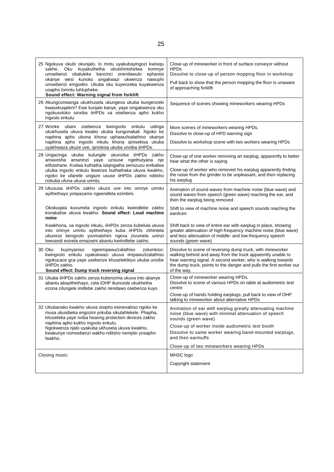| 25 Ngokuva okubi okunjalo, lo mntu uyakubayingozi kwisiqu<br>sakhe. Oku kuyakuthetha ukutshintshelwa<br>komnye<br>umsebenzi obaluleke kancinci onentlawulo<br>ephantsi<br>okanye wesi kunoko angakwazi ukwenza<br>nawuphi<br>umsebenzi emgodini. Ukuba oku kuyenzeka kuyakwenza<br>usapho lomntu luhlupheke.<br>Sound effect: Warning signal from forklift | Close-up of mineworker in front of surface conveyor without<br><b>HPDs</b><br>Dissolve to close-up of person mopping floor in workshop<br>Pull back to show that the person mopping the floor is unaware<br>of approaching forklift                                                                                     |
|------------------------------------------------------------------------------------------------------------------------------------------------------------------------------------------------------------------------------------------------------------------------------------------------------------------------------------------------------------|-------------------------------------------------------------------------------------------------------------------------------------------------------------------------------------------------------------------------------------------------------------------------------------------------------------------------|
| 26 Akungconwanga ukukhusela ukungeva ukuba kungenzeki<br>kwasekuqaleni? Ewe kunjalo kanye, yaye singakwenza oku<br>ngokusoloko sinxiba iiHPDs xa sisebenza apho kukho<br>ingxolo enkulu.                                                                                                                                                                   | Sequence of scenes showing mineworkers wearing HPDs                                                                                                                                                                                                                                                                     |
| 27 Wonke ubani osebenza<br>kwingxolo enkulu udinga<br>ukukhusela ukuva kwabo ukuba kungonakali. Ngoko ke<br>naphina apho ubona khona uphawu/isalathiso okanye<br>naphina apho ingxolo inkulu khona qinisekisa ukuba<br>uyakhwaza ukuze uve, qiniskisa ukuba unxiba iiHPDs.                                                                                 | More scenes of mineworkers wearing HPDs,<br>Dissolve to close-up of HPD warning sign<br>Dissolve to workshop scene with two workers wearing HPDs                                                                                                                                                                        |
| 28 Ungacinga ukuba kulungile ukunxiba iiHPDs zakho<br>amaxesha amaninzi yaye uzisuse ngethutyana nje<br>elifutshane. Kodwa kuthatha isiqingatha semizuzu embalwa<br>ukuba ingxolo enkulu ikwenze buthathaka ukuva kwakho,<br>ngoko ke ufanele ungaze ususe iiHPDs zakho nditsho<br>nokuba ufuna ukuva umntu.                                               | Close-up of one worker removing an earplug, apparently to better<br>hear what the other is saying<br>Close-up of worker who removed his earplug apparently finding<br>the noise from the grinder to be unpleasant, and then replacing<br>his earplug                                                                    |
| 29 Ukususa iiHPDs zakho ukuze uve into omnye umntu<br>ayithethayo yimpazamo ngeendlela ezimbini.                                                                                                                                                                                                                                                           | Animation of sound waves from machine noise (blue wave) and<br>sound waves from speech (green wave) reaching the ear, and<br>then the earplug being removed                                                                                                                                                             |
| Okokuqala kuvumela ingxolo enkulu kwiindlebe zakho<br>konakalise ukuva kwakho. Sound effect: Loud machine<br>noise                                                                                                                                                                                                                                         | Shift to view of machine noise and speech sounds reaching the<br>eardrum                                                                                                                                                                                                                                                |
| Kwakhona, xa ingxolo inkulu, iiHPDs zenza kubelula ukuva<br>into omnye umntu ayithethayo kuba iiHPDs zithintela<br>ubuninzi bengxolo yoomatshini ngexa zivumela uninzi<br>Iwesandi esivela emazwini abantu kwiindlebe zakho.                                                                                                                               | Shift back to view of entire ear with earplug in place, showing<br>greater attenuation of high-frequency machine noise (blue wave)<br>and less attenuation of middle- and low-frequency speech<br>sounds (green wave)                                                                                                   |
| 30 Oku<br>kuyinyaniso<br>ngeempawu/zalathiso<br>zolumkiso:<br>kwingxolo enkulu uyakukwazi ukuva iimpawu/izalathiso<br>ngokucace gca yaye usebenze khuselekileyo ukuba unxibe<br>iiHPDs zakho.<br>Sound effect: Dump truck reversing signal                                                                                                                 | Dissolve to scene of reversing dump truck, with mineworker<br>walking behind and away from the truck apparently unable to<br>hear warning signal. A second worker, who is walking towards<br>the dump truck, points to the danger and pulls the first worker out<br>of the way.                                         |
| 31 Ukuba iiHPDs zakho zenza kubenzima ukuva into abanye<br>abantu abayithethayo, cela iOHP ikuncede ukukhetha<br>ezona zilungele iindlebe zakho nendawo osebenza kuyo.                                                                                                                                                                                     | Close-up of mineworker wearing HPDs.<br>Dissolve to scene of various HPDs on table at audiometric test<br>centre<br>Close-up of hands holding earplugs; pull back to view of OHP<br>talking to mineworker about alternative HPDs                                                                                        |
| 32 Ukubanako kwakho ukuva sisipho esinexabiso ngoko ke<br>musa ukusibeka engozini yokuba sikulahlekele. Phapha,<br>khuseleka yaye nxiba hearing protection devices zakho<br>naphina apho kukho ingxolo enkulu.<br>Ngokwenza njalo uyakuba ukhusela ukuva kwakho,<br>kwakunye nomsebenzi wakho nditsho nempilo yosapho<br>Iwakho.                           | Animation of ear with earplug greatly attenuating machine<br>noise (blue wave) with minimal attenuation of speech<br>sounds (green wave)<br>Close-up of worker inside audiometric test booth<br>Dissolve to same worker wearing band-mounted earplugs,<br>and then earmuffs<br>Close-up of two mineworkers wearing HPDs |
| Closing music                                                                                                                                                                                                                                                                                                                                              | MHSC logo<br>Copyright statement                                                                                                                                                                                                                                                                                        |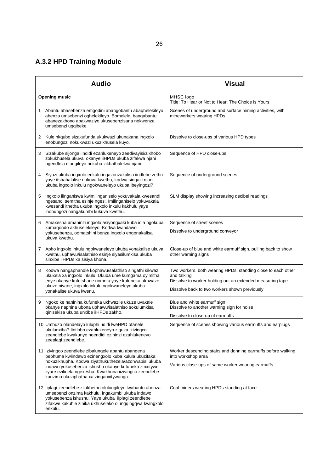# **A.3.2 HPD Training Module**

|   | <b>Audio</b>                                                                                                                                                                                                                                                                                                                      | <b>Visual</b>                                                                                                                                                                             |
|---|-----------------------------------------------------------------------------------------------------------------------------------------------------------------------------------------------------------------------------------------------------------------------------------------------------------------------------------|-------------------------------------------------------------------------------------------------------------------------------------------------------------------------------------------|
|   | <b>Opening music</b>                                                                                                                                                                                                                                                                                                              | MHSC logo<br>Title: To Hear or Not to Hear: The Choice is Yours                                                                                                                           |
|   | 1 Abantu abasebenza emgodini abangobantu abaqhelekileyo<br>abenza umsebenzi oqhelekileyo. Bomelele, bangabantu<br>abanezakhono abakwaziyo ukusebenzisana nokwenza<br>umsebenzi ugqibeke.                                                                                                                                          | Scenes of underground and surface mining activities, with<br>mineworkers wearing HPDs                                                                                                     |
|   | 2 Kule nkqubo sizakufunda ukukwazi ukunakana ingxolo<br>enobungozi nokukwazi ukuzikhusela kuyo.                                                                                                                                                                                                                                   | Dissolve to close-ups of various HPD types                                                                                                                                                |
| 3 | Sizakube sijonga iindidi ezahlukeneyo zeedivayisi/zixhobo<br>zokukhusela ukuva, okanye iiHPDs ukuba zifakwa njani<br>ngendlela elungileyo nokuba zikhathalelwa njani.                                                                                                                                                             | Sequence of HPD close-ups                                                                                                                                                                 |
| 4 | Siyazi ukuba ingxolo enkulu ingazonzakalisa iindlebe zethu<br>yaye itshabalalise nokuva kwethu, kodwa singazi njani<br>ukuba ingxolo inkulu ngokwaneleyo ukuba ibeyingozi?                                                                                                                                                        | Sequence of underground scenes                                                                                                                                                            |
| 5 | Ingxolo ilinganiswa kwimilinganiselo yokuvakala kwesandi<br>ngesandi semitha esinje ngesi. Imilinganiselo yokuvakala<br>kwesandi ithetha ukuba ingxolo inkulu kakhulu yaye<br>inobungozi nangakumbi kukuva kwethu.                                                                                                                | SLM display showing increasing decibel readings                                                                                                                                           |
| 6 | Amaxesha amaninzi ingxolo asiyongxaki kuba idla ngokuba<br>kumaqondo akhuselekileyo. Kodwa kwindawo<br>yokusebenza, oomatshini benza ingxolo engonakalisa<br>ukuva kwethu.                                                                                                                                                        | Sequence of street scenes<br>Dissolve to underground conveyor                                                                                                                             |
|   | 7 Apho ingxolo inkulu ngokwaneleyo ukuba yonakalise ukuva<br>kwethu, uphawu/isalathiso esinje siyasilumkisa ukuba<br>sinxibe iiHPDs xa sisiya khona.                                                                                                                                                                              | Close-up of blue and white earmuff sign, pulling back to show<br>other warning signs                                                                                                      |
| 8 | Kodwa nangaphandle kophawu/salathiso singathi sikwazi<br>ukuxela xa ingxolo inkulu. Ukuba ume kumgama oyimitha<br>enye okanye kufutshane nomntu yaye kufuneka ukhwaze<br>ukuze nivane, ingxolo inkulu ngokwaneleyo ukuba<br>yonakalise ukuva kwenu.                                                                               | Two workers, both wearing HPDs, standing close to each other<br>and talking<br>Dissolve to worker holding out an extended measuring tape<br>Dissolve back to two workers shown previously |
| 9 | Ngoko ke naninina kufuneka ukhwazile ukuze uvakale<br>okanye naphina ubona uphawu/isalathiso sokulumkisa<br>qinisekisa ukuba unxibe iiHPDs zakho.                                                                                                                                                                                 | Blue and white earmuff sign<br>Dissolve to another warning sign for noise<br>Dissolve to close-up of earmuffs                                                                             |
|   | 10 Umbuzo olandelayo luluphi udidi lweHPD ofanele<br>ukulunxiba? lintlobo ezahlukeneyo ziquka izivingco<br>zeendlebe kwakunye neendidi ezininzi ezahlukeneyo<br>zeeplagi zeendlebe.                                                                                                                                               | Sequence of scenes showing various earmuffs and earplugs                                                                                                                                  |
|   | 11 Izivingco zeendlebe zibalungele abantu abangena<br>bephuma kwiindawo ezinengxolo kuba kulula ukuzifaka<br>nokuzikhupha. Kodwa ziyathukuthezela/azonwabisi ukuba<br>indawo yokusebenza ishushu okanye kufuneka zinxitywe<br>iiyure eziliqela ngexesha. Kwakhona iizivingco zeendlebe<br>kunzima ukuziphatha xa zinganxitywanga. | Worker descending stairs and donning earmuffs before walking<br>into workshop area<br>Various close-ups of same worker wearing earmuffs                                                   |
|   | 12 liplagi zeendlebe zilukhetho olulungileyo lwabantu abenza<br>umsebenzi onzima kakhulu, ingakumbi ukuba indawo<br>yokusebenza ishushu. Yaye ukuba iiplagi zeendlebe<br>zifakwe kakuhle zinika ukhuseleko olungqingqwa kwingxolo<br>enkulu.                                                                                      | Coal miners wearing HPDs standing at face                                                                                                                                                 |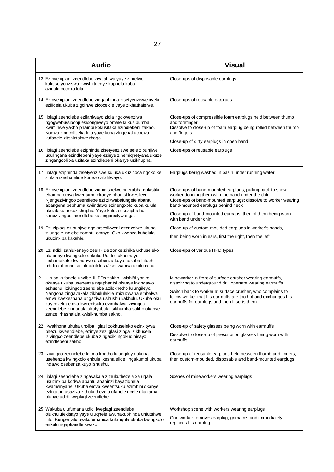| <b>Audio</b>                                                                                                                                                                                                                                                                                                                                                                                                                        | <b>Visual</b>                                                                                                                                                                                                                                                                                            |
|-------------------------------------------------------------------------------------------------------------------------------------------------------------------------------------------------------------------------------------------------------------------------------------------------------------------------------------------------------------------------------------------------------------------------------------|----------------------------------------------------------------------------------------------------------------------------------------------------------------------------------------------------------------------------------------------------------------------------------------------------------|
| 13 Ezinye iiplagi zeendlebe ziyalahlwa yaye zimelwe<br>kukusetyenziswa kwishifti enye kuphela kuba<br>azinakucoceka lula.                                                                                                                                                                                                                                                                                                           | Close-ups of disposable earplugs                                                                                                                                                                                                                                                                         |
| 14 Ezinye iiplagi zeendlebe zingaphinda zisetyenziswe iiveki<br>eziliqela ukuba zigcinwe zicocekile yaye zikhathalelwe.                                                                                                                                                                                                                                                                                                             | Close-ups of reusable earplugs                                                                                                                                                                                                                                                                           |
| 15 liplagi zeendlebe ezilahlwayo zidla ngokwenziwa<br>ngogwebu/siponji esisongiweyo omele kukusibumba<br>kwiminwe yakho phambi kokusifaka ezindlebeni zakho.<br>Kodwa zingcoliseka lula yaye kuba zingenakucocwa<br>kufanele zitshintshwe rhoqo.                                                                                                                                                                                    | Close-ups of compressible foam earplugs held between thumb<br>and forefinger<br>Dissolve to close-up of foam earplug being rolled between thumb<br>and fingers<br>Close-up of dirty earplugs in open hand                                                                                                |
| 16 liplagi zeendlebe eziphinda zisetyenziswe sele zibunjiwe<br>ukulingana ezindlebeni yaye ezinye zinemiqhetyana ukuze<br>zingangcoli xa uzifaka ezindlebeni okanye uzikhupha.                                                                                                                                                                                                                                                      | Close-ups of reusable earplugs                                                                                                                                                                                                                                                                           |
| 17 liplagi eziphinda zisetyenziswe kuluka ukuzicoca ngoko ke<br>zihlala ixesha elide kunezo zilahlwayo.                                                                                                                                                                                                                                                                                                                             | Earplugs being washed in basin under running water                                                                                                                                                                                                                                                       |
| 18 Ezinye iiplagi zeendlebe ziqhinishelwe ngerabha eplastiki<br>ehamba emva kwentamo okanye phantsi kwesilevu.<br>Njengezivingco zeendlebe ezi zikwabalungele abantu<br>abangena bephuma kwiindawo ezinengxolo kuba kulula<br>ukuzifaka nokuzikhupha. Yaye kulula ukuziphatha<br>kunezivingco zeendlebe xa zinganxitywanga.                                                                                                         | Close-ups of band-mounted earplugs, pulling back to show<br>worker donning them with the band under the chin<br>Close-ups of band-mounted earplugs; dissolve to worker wearing<br>band-mounted earplugs behind neck<br>Close-up of band-mounted earcaps, then of them being worn<br>with band under chin |
| 19 Ezi ziplagi ezibunjwe ngokusesikweni ezenzelwe ukuba<br>zilungele indlebe zomntu omnye. Oko kwenza kubelula<br>ukuzinxiba kakuhle.                                                                                                                                                                                                                                                                                               | Close-up of custom-moulded earplugs in worker's hands,<br>then being worn in ears, first the right, then the left                                                                                                                                                                                        |
| 20 Ezi ndidi zahlukeneyo zeeHPDs zonke zinika ukhuseleko<br>olufanayo kwingxolo enkulu. Udidi olukhethayo<br>luxhomekeke kwindawo osebenza kuyo nokuba luluphi<br>udidi olufumanisa lukhululekisa/lisonwabisa ukulunxiba.                                                                                                                                                                                                           | Close-ups of various HPD types                                                                                                                                                                                                                                                                           |
| 21 Ukuba kufanele unxibe iiHPDs zakho kwishifti yonke<br>okanye ukuba usebenza ngaphantsi okanye kwindawo<br>eshushu, izivingco zeendlebe azilokhetho lulungileyo.<br>Nangona zingavakala zikhululekile imizuzwana embalwa<br>emva kwexeshana ungaziva ushushu kakhulu. Ukuba oku<br>kuyenzeka emva kweentsuku ezimbalwa izivingco<br>zeendlebe zingaqala ukutyabula isikhumba sakho okanye<br>zenze irhashalala kwisikhumba sakho. | Mineworker in front of surface crusher wearing earmuffs,<br>dissolving to underground drill operator wearing earmuffs<br>Switch back to worker at surface crusher, who complains to<br>fellow worker that his earmuffs are too hot and exchanges his<br>earmuffs for earplugs and then inserts them      |
| 22 Kwakhona ukuba unxiba iiglasi zokhuseleko ezinxitywa<br>phezu kweendlebe, ezinye zezi glasi zinga zikhusela<br>izivingco zeendlebe ukuba zingaciki ngokuqinisayo<br>ezindlebeni zakho.                                                                                                                                                                                                                                           | Close-up of safety glasses being worn with earmuffs<br>Dissolve to close-up of prescription glasses being worn with<br>earmuffs                                                                                                                                                                          |
| 23 Izivingco zeendlebe lolona khetho lulungileyo ukuba<br>usebenza kwingxolo enkulu ixesha elide, ingakumbi ukuba<br>indawo osebenza kuyo ishushu.                                                                                                                                                                                                                                                                                  | Close-up of reusable earplugs held between thumb and fingers,<br>then custom-moulded, disposable and band-mounted earplugs                                                                                                                                                                               |
| 24 liplagi zeendlebe zingavakala zithukuthezela xa uqala<br>ukuzinxiba kodwa abantu abaninzi bayaziqhela<br>kwamsinyane. Ukuba emva kweentsuku ezimbini okanye<br>ezintathu usaziva zithukuthezela ufanele ucele ukuzama<br>olunye udidi lweplagi zeendlebe.                                                                                                                                                                        | Scenes of mineworkers wearing earplugs                                                                                                                                                                                                                                                                   |
| 25 Wakuba ulufumana udidi lweplagi zeendlebe<br>olukhululekisayo yaye uluqhele awunakuphinda uhlutshwe<br>lulo. Kungenjalo uyakufumanisa kukruqula ukuba kwingxolo<br>enkulu ngaphandle kwazo.                                                                                                                                                                                                                                      | Workshop scene with workers wearing earplugs<br>One worker removes earplug, grimaces and immediately<br>replaces his earplug                                                                                                                                                                             |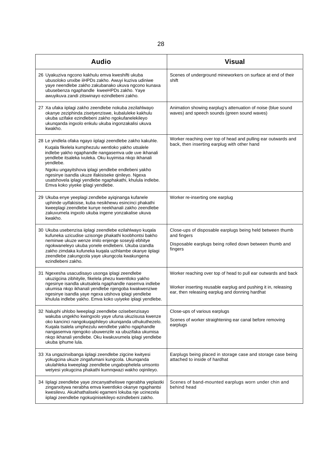| <b>Audio</b>                                                                                                                                                                                                                                                                                                                                                                                                                                                  | <b>Visual</b>                                                                                                                                                                       |
|---------------------------------------------------------------------------------------------------------------------------------------------------------------------------------------------------------------------------------------------------------------------------------------------------------------------------------------------------------------------------------------------------------------------------------------------------------------|-------------------------------------------------------------------------------------------------------------------------------------------------------------------------------------|
| 26 Uyakuziva ngcono kakhulu emva kweshifti ukuba<br>ubusoloko unxibe iiHPDs zakho. Awuyi kuziva udiniwe<br>yaye neendlebe zakho zakubanako ukuva ngcono kunaxa<br>ubusebenza ngaphandle kweeHPDs zakho. Yaye<br>awuyikuva zandi zitswinayo ezindlebeni zakho.                                                                                                                                                                                                 | Scenes of underground mineworkers on surface at end of their<br>shift                                                                                                               |
| 27 Xa ufaka iiplagi zakho zeendlebe nokuba zezilahlwayo<br>okanye zeziphinda zisetyenziswe, kubaluleke kakhulu<br>ukuba uzifake ezindlebeni zakho ngokufanelekileyo<br>ukunqanda ingxolo enkulu ukuba ingonzakalisi ukuva<br>kwakho.                                                                                                                                                                                                                          | Animation showing earplug's attenuation of noise (blue sound<br>waves) and speech sounds (green sound waves)                                                                        |
| 28 Le yindlela ofaka ngayo iiplagi zeendlebe zakho kakuhle.<br>Kuqala fikelela kumphezulu wentloko yakho utsalele<br>indlebe yakho ngaphandle nangasemva ude uve ikhanali<br>yendlebe itsaleka ivuleka. Oku kuyimisa nkqo ikhanali<br>vendlebe.<br>Ngoku ungayitshova iplagi yendlebe endlebeni yakho<br>ngesinye isandla ukuze ifakisiseke qinileyo. Ngexa<br>usatshovela iplagi yendlebe ngaphakathi, khulula indlebe.<br>Emva koko yiyeke iplagi yendlebe. | Worker reaching over top of head and pulling ear outwards and<br>back, then inserting earplug with other hand                                                                       |
| 29 Ukuba enye yeeplagi zendlebe ayiqinanga kufanele<br>uphinde uyifakisise, kuba nesikhewu esincinci phakathi<br>kweeplagi zeendlebe kunye neekhanali zakho zeendlebe<br>zakuvumela ingxolo ukuba ingene yonzakalise ukuva<br>kwakho.                                                                                                                                                                                                                         | Worker re-inserting one earplug                                                                                                                                                     |
| 30 Ukuba usebenzisa iiplagi zeendlebe ezilahlwayo kuqala<br>kufuneka uzicudise uzisonge phakathi koobhontsi bakho<br>neminwe ukuze wenze imilo enjenge soseyiji ebhitye<br>ngokwaneleyo ukuba yonele endlebeni. Ukuba izandla<br>zakho zimdaka kufuneka kuqala uzihlambe okanye iiplagi<br>zeendlebe zakungcola yaye ukungcola kwakungena<br>ezindlebeni zakho.                                                                                               | Close-ups of disposable earplugs being held between thumb<br>and fingers<br>Disposable earplugs being rolled down between thumb and<br>fingers                                      |
| 31 Ngexesha usacudisayo usonga iplagi zeendlebe<br>ukuzigcina zibhityile, fikelela phezu kwentloko yakho<br>ngesinye isandla ukutsalela ngaphandle nasemva indlebe<br>ukumisa nkqo ikhanali yendlebe njengoba kwakwenziwe<br>ngesinye isandla yaye ngexa utshova iplagi yendlebe<br>khulula indlebe yakho. Emva koko uyiyeke iplagi yendlebe.                                                                                                                 | Worker reaching over top of head to pull ear outwards and back<br>Worker inserting reusable earplug and pushing it in, releasing<br>ear, then releasing earplug and donning hardhat |
| 32 Naluphi uhlobo lweeplagi zeendlebe ozisebenzisayo<br>wakuba ungekho kwingxolo yaye ufuna ukuzisusa kwenze<br>oko kancinci nangokuqaphileyo ukunqanda uthukuthezelo.<br>Kuqala tsalela umphezulu wendlebe yakho ngaphandle<br>nangasemva njengoko ubuwenzile xa ubuzifaka ukumisa<br>nkqo ikhanali yendlebe. Oku kwakuvumela iplagi yendlebe<br>ukuba iphume lula.                                                                                          | Close-ups of various earplugs<br>Scenes of worker straightening ear canal before removing<br>earplugs                                                                               |
| 33 Xa ungazinxibanga iiplagi zeendlebe zigcine kwityesi<br>yokugcina ukuze zingafumani kungcola. Ukunqanda<br>ukulahleka kweeplagi zeendlebe ungabophelela umsonto<br>wetyesi yokugcina phakathi kumnqwazi wakho oqinileyo.                                                                                                                                                                                                                                   | Earplugs being placed in storage case and storage case being<br>attached to inside of hardhat                                                                                       |
| 34 liplagi zeendlebe yaye zincanyatheliswe ngerabha yeplastki<br>zinganxitywa nerabha emva kwentloko okanye ngaphantsi<br>kwesilevu. Akukhathaliseki egameni lokuba nje ucinezela<br>iiplagi zeendlebe ngokuqinisekileyo ezindlebeni zakho.                                                                                                                                                                                                                   | Scenes of band-mounted earplugs worn under chin and<br>behind head                                                                                                                  |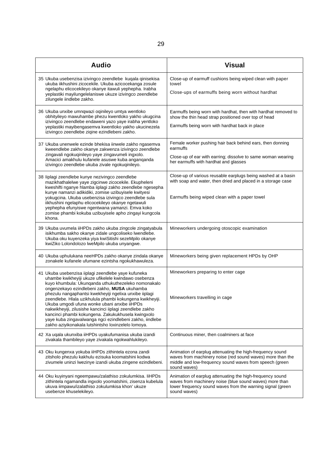| <b>Audio</b>                                                                                                                                                                                                                                                                                                                                                                                                                                                                                                                                                                                                                 | <b>Visual</b>                                                                                                                                                                                      |
|------------------------------------------------------------------------------------------------------------------------------------------------------------------------------------------------------------------------------------------------------------------------------------------------------------------------------------------------------------------------------------------------------------------------------------------------------------------------------------------------------------------------------------------------------------------------------------------------------------------------------|----------------------------------------------------------------------------------------------------------------------------------------------------------------------------------------------------|
| 35 Ukuba usebenzisa izivingco zeendlebe kuqala qinisekisa<br>ukuba iikhushini zicocekile. Ukuba azicocekanga zosule<br>ngelaphu elicocekileyo okanye itawuli yephepha. Irabha<br>yeplastiki mayilungelelaniswe ukuze izivingco zeendlebe<br>zilungele iindlebe zakho.                                                                                                                                                                                                                                                                                                                                                        | Close-up of earmuff cushions being wiped clean with paper<br>towel<br>Close-ups of earmuffs being worn without hardhat                                                                             |
| 36 Ukuba unxibe umnqwazi oqinileyo umtya wentloko<br>obhityileyo mawuhambe phezu kwentloko yakho ukugcina<br>izivingco zeendlebe endaweni yazo yaye irabha yentloko<br>yeplastiki mayibengasemva kwentloko yakho ukucinezela<br>izivingco zeendlebe ziqine ezindlebeni zakho.                                                                                                                                                                                                                                                                                                                                                | Earmuffs being worn with hardhat, then with hardhat removed to<br>show the thin head strap positioned over top of head<br>Earmuffs being worn with hardhat back in place                           |
| 37 Ukuba unenwele ezinde bhekisa iinwele zakho ngasemva<br>kweendlebe zakho okanye zakwenza izivingco zeendlebe<br>zingavali ngokuqinileyo yaye zingavumeli ingxolo.<br>Amacici amakhulu kufanele asuswe kuba anganganda<br>izivingco zeendlebe ukuba zivale ngokuqinileyo.                                                                                                                                                                                                                                                                                                                                                  | Female worker pushing hair back behind ears, then donning<br>earmuffs<br>Close-up of ear with earring; dissolve to same woman wearing<br>her earmuffs with hardhat and glasses                     |
| 38 liplagi zeendlebe kunye nezivingco zeendlebe<br>mazikhathalelwe yaye zigcinwe zicocekile. Ekupheleni<br>kweshifti nganye hlamba iiplagi zakho zeendlebe ngesepha<br>kunye namanzi adikidiki, zomise uzibuyisele kwityesi<br>yokugcina. Ukuba usebenzisa izivingco zeendlebe sula<br>iikhushini ngelaphu elicocekileyo okanye ngetawuli<br>yephepha efunyiswe ngentwana yamanzi. Emva koko<br>zomise phambi kokuba uzibuyisele apho zingayi kungcola<br>khona.                                                                                                                                                             | Close-up of various reusable earplugs being washed at a basin<br>with soap and water, then dried and placed in a storage case<br>Earmuffs being wiped clean with a paper towel                     |
| 39 Ukuba uvumela iiHPDs zakho ukuba zingcole zingatyabula<br>isikhumba sakho okanye zidale ungcoliseko lwendlebe.<br>Ukuba oku kuyenzeka yiya kwiSitishi sezeMpilo okanye<br>kwiZiko Lolondolozo lweMpilo ukuba unyangwe.                                                                                                                                                                                                                                                                                                                                                                                                    | Mineworkers undergoing otoscopic examination                                                                                                                                                       |
| 40 Ukuba uphulukana neeHPDs zakho okanye zindala okanye<br>zonakele kufanele ufumane ezintsha ngokukhawuleza.                                                                                                                                                                                                                                                                                                                                                                                                                                                                                                                | Mineworkers being given replacement HPDs by OHP                                                                                                                                                    |
| 41 Ukuba usebenzisa iiplagi zeendlebe yaye kufuneka<br>uhambe kwikheyiji ukuze ufikelele kwindawo osebenza<br>kuyo khumbula: Ukunqanda uthukuthezeleko nomonakalo<br>ongenzekayo ezindlebeni zakho, MUSA ukuhamba<br>phezulu nangaphantsi kwekheyiji ngelixa unxibe iiplagi<br>zeendlebe. Hlala uzikhulula phambi kokungena kwikheyiji.<br>Ukuba umgodi ufuna wonke ubani anxibe iiHPDs<br>nakwikheyiji, zilusishe kancinci iiplagi zeendlebe zakho<br>kancinci phambi kokungena. Zakukukhusela kwingxolo<br>yaye kuba zingavalwanga ngci ezindlebeni zakho, iindlebe<br>zakho aziyikonakala lutshintsho loxinzelelo lomoya. | Mineworkers preparing to enter cage<br>Mineworkers travelling in cage                                                                                                                              |
| 42 Xa uqala ukunxiba iiHPDs uyakufumanisa ukuba izandi<br>zivakala thambileyo yaye zivakala ngokwahlukileyo.                                                                                                                                                                                                                                                                                                                                                                                                                                                                                                                 | Continuous miner, then coalminers at face                                                                                                                                                          |
| 43 Oku kungenxa yokuba iiHPDs zithintela ezona zandi<br>zitsholo phezulu kakhulu ezisuka koomatshini kodwa<br>zivumele uninzi lwezinye izandi ukuba zingene ezindlebeni.                                                                                                                                                                                                                                                                                                                                                                                                                                                     | Animation of earplug attenuating the high-frequency sound<br>waves from machinery noise (red sound waves) more than the<br>middle and low-frequency sound waves from speech (green<br>sound waves) |
| 44 Oku kuyinyani ngeempawu/zalathiso zokulumkisa. IiHPDs<br>zithintela ngamandla ingxolo yoomatshini, zisenza kubelula<br>ukuva iimpawu/izalathiso zokulumkisa khon' ukuze<br>usebenze khuselekileyo.                                                                                                                                                                                                                                                                                                                                                                                                                        | Animation of earplug attenuating the high-frequency sound<br>waves from machinery noise (blue sound waves) more than<br>lower frequency sound waves from the warning signal (green<br>sound waves) |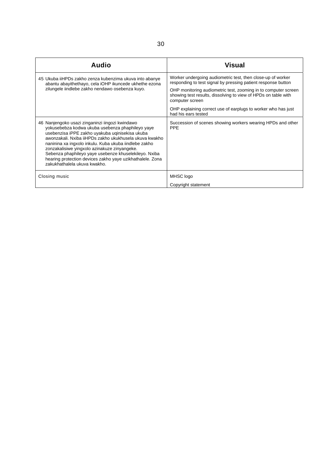| <b>Audio</b>                                                                                                                                                                                                                                                                                                                                                                                                                                                                    | <b>Visual</b>                                                                                                                                       |
|---------------------------------------------------------------------------------------------------------------------------------------------------------------------------------------------------------------------------------------------------------------------------------------------------------------------------------------------------------------------------------------------------------------------------------------------------------------------------------|-----------------------------------------------------------------------------------------------------------------------------------------------------|
| 45 Ukuba iiHPDs zakho zenza kubenzima ukuva into abanye<br>abantu abayithethayo, cela iOHP ikuncede ukhethe ezona<br>zilungele iindlebe zakho nendawo osebenza kuyo.                                                                                                                                                                                                                                                                                                            | Worker undergoing audiometric test, then close-up of worker<br>responding to test signal by pressing patient response button                        |
|                                                                                                                                                                                                                                                                                                                                                                                                                                                                                 | OHP monitoring audiometric test, zooming in to computer screen<br>showing test results, dissolving to view of HPDs on table with<br>computer screen |
|                                                                                                                                                                                                                                                                                                                                                                                                                                                                                 | OHP explaining correct use of earplugs to worker who has just<br>had his ears tested                                                                |
| 46 Nanjengoko usazi zinganinzi iingozi kwindawo<br>yokusebebza kodwa ukuba usebenza phaphileyo yaye<br>usebenzisa iPPE zakho uyakuba uginisekisa ukuba<br>awonzakali. Nxiba iiHPDs zakho ukukhusela ukuva kwakho<br>naninina xa ingxolo inkulu. Kuba ukuba iindlebe zakho<br>zonzakalisiwe yingxolo azinakuze zinyangeke.<br>Sebenza phaphileyo yaye usebenze khuselekileyo. Nxiba<br>hearing protection devices zakho yaye uzikhathalele. Zona<br>zakukhathalela ukuva kwakho. | Succession of scenes showing workers wearing HPDs and other<br><b>PPE</b>                                                                           |
| Closing music                                                                                                                                                                                                                                                                                                                                                                                                                                                                   | MHSC logo                                                                                                                                           |
|                                                                                                                                                                                                                                                                                                                                                                                                                                                                                 | Copyright statement                                                                                                                                 |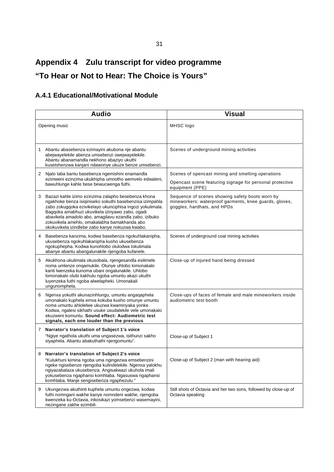# **Appendix 4 Zulu transcript for video programme "To Hear or Not to Hear: The Choice is Yours"**

## **A.4.1 Educational/Motivational Module**

|              | <b>Audio</b>                                                                                                                                                                                                                                                                                                                                                                                 | <b>Visual</b>                                                                                                                            |
|--------------|----------------------------------------------------------------------------------------------------------------------------------------------------------------------------------------------------------------------------------------------------------------------------------------------------------------------------------------------------------------------------------------------|------------------------------------------------------------------------------------------------------------------------------------------|
|              | Opening music                                                                                                                                                                                                                                                                                                                                                                                | MHSC logo                                                                                                                                |
| 1            | Abantu abasebenza ezimayini akubona nje abantu<br>abejwayelekile abenza umsebenzi owejwayelekile.<br>Abantu abanamandla nekhono abaziyo ukuthi<br>kusetshenzwa kanjani ndawonye ukuze benze umsebenzi.                                                                                                                                                                                       | Scenes of underground mining activities                                                                                                  |
| 2            | Njalo laba bantu basebenza ngemishini enamandla<br>ezimweni ezinzima ukukhipha umnotho wemvelo edwaleni,<br>bawuhlunge kahle bese bewucwenga futhi.                                                                                                                                                                                                                                          | Scenes of opencast mining and smelting operations<br>Opencast scene featuring signage for personal protective<br>equipment (PPE)         |
| 3            | Bazazi kahle izimo ezinzima zalapho besebenza khona<br>ngakhoke benza isiqiniseko sokuthi basebenzisa izimpahla<br>zabo zokugqoka ezivikelayo ukunciphisa ingozi yokulimala.<br>Bagqoka amabhuzi ukuvikela izinyawo zabo, ogadi<br>abavikela amadolo abo, amagilavu ezandla zabo, izibuko<br>zokuvikela amehlo, omakalabha bamakhanda abo<br>okokuvikela izindlebe zabo kanye nokuzwa kwabo. | Sequence of scenes showing safety boots worn by<br>mineworkers: waterproof garments, knee guards, gloves,<br>goggles, hardhats, and HPDs |
| 4            | Basebenza kanzima, kodwa basebenza ngokuhlakanipha,<br>ukusebenza ngokuhlakanipha kusho ukusebenza<br>ngokuphepha. Kodwa kunohlobo olulodwa lokulimala<br>abanye abantu abangalunakile njengoba kufanele.                                                                                                                                                                                    | Scenes of underground coal mining activities                                                                                             |
| 5            | Akukhona ukulimala okusobala, njengesandla esilimele<br>noma umlenze onqamukile. Olunye uhlobo lomonakalo<br>kanti lwenzeka kunoma ubani ongalunakile. Uhlobo<br>lomonakalo olubi kakhulu ngoba umuntu akazi ukuthi<br>luyenzeka futhi ngoba alwelapheki. Umonakali<br>ungunomphela.                                                                                                         | Close-up of injured hand being dressed                                                                                                   |
| 6            | Ngenxa yokuthi akunazinhlungu, umuntu angaqaphela<br>umonakalo kuphela emva kokuba kusho omunye umuntu<br>noma umuntu ahlolelwe ukuzwa kwaminyaka yonke.<br>Kodwa, ngalesi sikhathi usuke usudalekile vele umonakalo<br>ekuzweni komuntu. Sound effect: Audiometric test<br>signals, each one louder than the previous                                                                       | Close-ups of faces of female and male mineworkers inside<br>audiometric test booth                                                       |
| $\mathbf{7}$ | Narrator's translation of Subject 1's voice<br>"Ngiye ngathola ukuthi uma ungasezwa, isithunzi sakho<br>siyaphela. Abantu abakuthathi njengomuntu".                                                                                                                                                                                                                                          | Close-up of Subject 1                                                                                                                    |
| 8            | Narrator's translation of Subject 2's voice<br>"Kulukhuni kimina ngoba uma ngingezwa emsebenzini<br>ngeke ngisebenze njengoba kulindelekile. Ngenxa yalokhu<br>ngiyazabalaza ukusebenza. Angisakwazi ukuhola imali<br>yokusebenza ngaphansi komhlaba. Ngasuswa ngaphansi<br>komhlaba. Manje sengisebenza ngaphezulu."                                                                        | Close-up of Subject 2 (man with hearing aid)                                                                                             |
| 9            | Ukungezwa akuthinti kuphela umuntu ongezwa, kodwa<br>futhi nomngani wakhe kanye nomndeni wakhe, njengoba<br>kwenzeka ku-Octavia, inkosikazi yomsebenzi wasemayini,<br>nezingane zakhe ezimbili.                                                                                                                                                                                              | Still shots of Octavia and her two sons, followed by close-up of<br>Octavia speaking                                                     |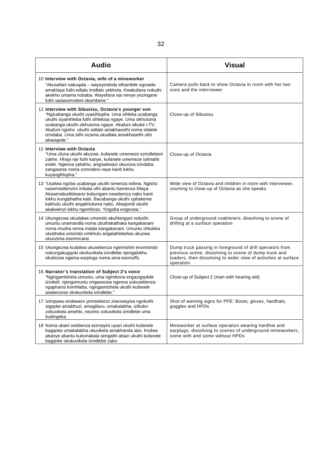| <b>Audio</b>                                                                                                                                                                                                                                                                                                                                                   | <b>Visual</b>                                                                                                                                                                                     |
|----------------------------------------------------------------------------------------------------------------------------------------------------------------------------------------------------------------------------------------------------------------------------------------------------------------------------------------------------------------|---------------------------------------------------------------------------------------------------------------------------------------------------------------------------------------------------|
| 10 Interview with Octavia, wife of a mineworker<br>"Akusafani nakugala – wayeyindoda ethambile egcwele<br>amahlaya futhi edlala imidlalo yebhola. Kwakufana nokuthi<br>akekho umama nobaba. Wayefana nje nenye yezingane<br>futhi sasiwumndeni obumbene."                                                                                                      | Camera pulls back to show Octavia in room with her two<br>sons and the interviewer                                                                                                                |
| 11 Interview with Sibusisu, Octavia's younger son<br>"Ngicabanga ukuthi uyasihlupha. Uma sihleka ucabanga<br>ukuthi siyamhleba futhi sihlekisa ngaye. Uma sikhuluma<br>ucabanga ukuthi sikhuluma ngaye. Akafuni sibuke i-TV.<br>Akafuni ngisho ukuthi sidlale amakhasethi noma silalele<br>izindaba. Uma sithi sizama ukudlala amakhasethi uthi<br>akasiqede." | Close-up of Sibusisu                                                                                                                                                                              |
| 12 Interview with Octavia<br>"Uma ufuna ukuthi akuzwe, kufanele umemeze ezindlebeni<br>zakhe. Hhayi nje futhi kanye, kufanele umemeze isikhathi<br>eside. Ngenxa yalokhu, angisakwazi ukuxoxa izindaba<br>zangasese noma zomndeni naye kanti lokhu<br>kuyangihlupha."                                                                                          | Close-up of Octavia                                                                                                                                                                               |
| 13 "Uyalwa ngoba ucabanga ukuthi simenza isilima. Ngisho<br>nasemsebenzini imbala uthi abantu bamenza ihlaya.<br>Akasenabudlelwano bobungani nasebenza nabo kanti<br>lokhu kungiphatha kabi. Bacabanga ukuthi uphakeme<br>kakhulu ukuthi angakhuluma nabo. Abaqondi ukuthi<br>akakwenzi lokhu ngenhloso. Yingoba engezwa."                                     | Wide view of Octavia and children in room with interviewer,<br>zooming to close-up of Octavia as she speaks                                                                                       |
| 14 Ukungezwa okudalwe umsindo akuhlangani nokuthi<br>umuntu unamandla noma ubuthakathaka kangakanani<br>noma musha noma mdala kangakanani. Umuntu ohluleka<br>ukubheka umsindo omkhulu angalahlekelwa ukuzwa<br>okunzima esemncane.                                                                                                                            | Group of underground coalminers, dissolving to scene of<br>drilling at a surface operation                                                                                                        |
| 15 Ukungezwa kudalwa ukusebenza ngemishini enomsindo<br>nokungakugqoki okokuvikela izindlebe njengalokhu<br>okubizwa ngama-earplugs noma ama-earmuffs.                                                                                                                                                                                                         | Dump truck passing in foreground of drill operators from<br>previous scene, dissolving to scene of dump truck and<br>loaders, then dissolving to wider view of activities at surface<br>operation |
| 16 Narrator's translation of Subject 2's voice<br>"Ngingamtshela umuntu, uma ngimbona engazigqokile<br>izivikeli, njengomuntu ongasezwa ngenxa yokusebenza<br>ngaphansi komhlaba, ngingamtshela ukuthi kufanele<br>asebenzise okokuvikela izindlebe."                                                                                                          | Close-up of Subject 2 (man with hearing aid)                                                                                                                                                      |
| 17 Izimpawu endaweni yomsebenzi zisexwayisa ngokuthi<br>sigqoke amabhuzi, amagilavu, omakalabha, izibuko<br>zokuvikela amehlo, nezinto zokuvikela izindlebe uma<br>kudingeka.                                                                                                                                                                                  | Shot of warning signs for PPE: Boots, gloves, hardhats,<br>goggles and HPDs                                                                                                                       |
| 18 Noma ubani osebenza ezimayini uyazi ukuthi kufanele<br>bagqoke umakalabha ukuvikela amakhanda abo. Kodwa<br>abanye abantu kubonakala sengathi abazi ukuthi kufanele<br>bagqoke okokuvikela izindlebe zabo.                                                                                                                                                  | Mineworker at surface operation wearing hardhat and<br>earplugs, dissolving to scenes of underground mineworkers,<br>some with and some without HPDs                                              |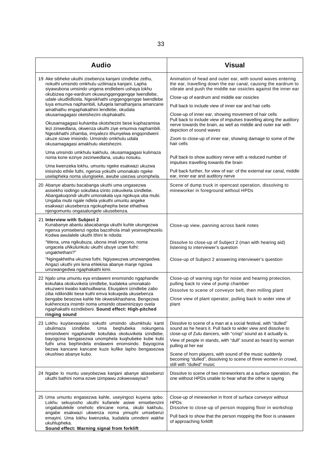| <b>Audio</b>                                                                                                                                                                                                                                                                                                                                                                                                                                                                                                                                                                                                                                                                                                                                                                                                                                                                                                                                                                   | <b>Visual</b>                                                                                                                                                                                                                                                                                                                                                                                                                                                                                                                                                                                                                                                                                                                                                                                                                         |
|--------------------------------------------------------------------------------------------------------------------------------------------------------------------------------------------------------------------------------------------------------------------------------------------------------------------------------------------------------------------------------------------------------------------------------------------------------------------------------------------------------------------------------------------------------------------------------------------------------------------------------------------------------------------------------------------------------------------------------------------------------------------------------------------------------------------------------------------------------------------------------------------------------------------------------------------------------------------------------|---------------------------------------------------------------------------------------------------------------------------------------------------------------------------------------------------------------------------------------------------------------------------------------------------------------------------------------------------------------------------------------------------------------------------------------------------------------------------------------------------------------------------------------------------------------------------------------------------------------------------------------------------------------------------------------------------------------------------------------------------------------------------------------------------------------------------------------|
| 19 Ake sibheke ukuthi zisebenza kanjani izindlebe zethu,<br>nokuthi umsindo omkhulu uzilimaza kanjani. Lapha<br>siyawubona umsindo ungena endlebeni ushaya lokhu<br>okubizwa nge-eardrum okuwungqengqengqe lwendlebe,<br>udale ukudlidlizela. Ngesikhathi ungqengqengqe lwendlebe<br>luya emumva naphambili, lufuqela lamathanjana amancane<br>amathathu engaphakathini lendlebe, okudala<br>okusamagagasi oketshezini oluphakathi.<br>Okusamagagasi kuhamba okotshezini bese kuphazamisa<br>lezi zinwedlana, okwenza ukuthi ziye emumva naphambili.<br>Ngesikhathi zihamba, imiyalezo ithunyelwa engqondweni<br>ukuze sizwe imisindo. Umsindo omkhulu udala<br>okusamagagasi amakhulu oketshezini.<br>Uma umsindo umkhulu kakhulu, okusamagagasi kulimaza<br>noma kone ezinye zezinwedlana, usuku nosuku.<br>Uma kwenzeka lokhu, umuntu ngeke esakwazi ukuzwa<br>imisindo ethile futhi, ngenxa yokuthi umonakalo ngeke<br>uselapheka noma ulungiseke, awube usezwa unomphela. | Animation of head and outer ear, with sound waves entering<br>the ear, travelling down the ear canal, causing the eardrum to<br>vibrate and push the middle ear ossicles against the inner ear<br>Close-up of eardrum and middle ear ossicles<br>Pull back to include view of inner ear and hair cells<br>Close-up of inner ear, showing movement of hair cells<br>Pull back to include view of impulses travelling along the auditory<br>nerve towards the brain, as well as middle and outer ear with<br>depiction of sound waves<br>Zoom to close-up of inner ear, showing damage to some of the<br>hair cells<br>Pull back to show auditory nerve with a reduced number of<br>impulses travelling towards the brain<br>Pull back further, for view of ear: of the external ear canal, middle<br>ear, inner ear and auditory nerve |
| 20 Abanye abantu bacabanga ukuthi uma ungasezwa<br>asisekho isidingo sokufaka izinto zokuvikela izindlebe.<br>Abangakuqondi ukuthi umonakala uya ngokuya uba mubi.<br>Ungaba mubi ngale ndlela yokuthi umuntu angeke<br>esakwazi ukusebenza ngokuphepha bese ethathwa<br>njengomuntu ongasalungele ukusebenza.                                                                                                                                                                                                                                                                                                                                                                                                                                                                                                                                                                                                                                                                 | Scene of dump truck in opencast operation, dissolving to<br>mineworker in foreground without HPDs                                                                                                                                                                                                                                                                                                                                                                                                                                                                                                                                                                                                                                                                                                                                     |
| 21 Interview with Subject 2<br>Kunabanye abantu abacabanga ukuthi kuhle ukungezwa<br>ngenxa yomsebenzi ngoba bazothola imali yesinxephezelo.<br>Kodwa awulalele ukuthi ithini le ndoda:<br>"Wena, uma ngikubuza, ubona imali ingcono, noma                                                                                                                                                                                                                                                                                                                                                                                                                                                                                                                                                                                                                                                                                                                                     | Close-up view, panning across bank notes<br>Dissolve to close-up of Subject 2 (man with hearing aid)                                                                                                                                                                                                                                                                                                                                                                                                                                                                                                                                                                                                                                                                                                                                  |
| ungacela uNkulunkulu ukuthi ubuye uzwe futhi:<br>ungakhethani?"<br>"Ngingakhetha ukuzwa futhi. Ngiyawuzwa umzwangedwa.<br>Angazi ukuthi yini lena ehlekisa abanye manje ngizwa<br>umzwangedwa ngaphakathi kimi.                                                                                                                                                                                                                                                                                                                                                                                                                                                                                                                                                                                                                                                                                                                                                                | listening to interviewer's question<br>Close-up of Subject 2 answering interviewer's question                                                                                                                                                                                                                                                                                                                                                                                                                                                                                                                                                                                                                                                                                                                                         |
| 22 Njalo uma umuntu eya endaweni enomsindo ngaphandle<br>kokufaka okokuvikela izindlebe, kudaleka umonakalo<br>ekuzweni kwabo kakhudlwana. Ekuqaleni izindlebe zabo<br>ziba ndikindiki bese kuthi emva kokuqeda ukusebenza<br>bengabe besezwa kahle hle okwesikhashana. Bengezwa<br>kukhenceza insimbi noma umsindo otswininizayo ovela<br>ngaphakathi ezindlebeni. Sound effect: High-pitched<br>ringing sound                                                                                                                                                                                                                                                                                                                                                                                                                                                                                                                                                                | Close-up of warning sign for noise and hearing protection,<br>pulling back to view of pump chamber<br>Dissolve to scene of conveyor belt, then milling plant<br>Close view of plant operator, pulling back to wider view of<br>plant                                                                                                                                                                                                                                                                                                                                                                                                                                                                                                                                                                                                  |
| 23 Lokhu kuyisexwayiso sokuthi umsindo ubumkhulu kanti<br>ubulimaza<br>izindlebe.<br>beghubeka<br>Uma<br>nokungena<br>emsindweni ngaphandle kokufaka okokuvikela izindlebe,<br>bayogcina bengasezwa unomphela kuqhubeke kube kubi<br>futhi uma bephindela endaweni enomsindo. Bayogcina<br>bezwa kancane kancane kuze kufike lapho bengasezwa<br>okushiwo abanye kubo.                                                                                                                                                                                                                                                                                                                                                                                                                                                                                                                                                                                                         | Dissolve to scene of a man at a social festival, with "dulled"<br>sound as he hears it. Pull back to wider view and dissolve to<br>close-up of Zulu dancers, with "crisp" sound as it actually is.<br>View of people in stands, with "dull" sound as heard by woman<br>pulling at her ear<br>Scene of horn players, with sound of the music suddenly<br>becoming "dulled", dissolving to scene of three women in crowd,<br>still with "dulled" music                                                                                                                                                                                                                                                                                                                                                                                  |
| 24 Ngabe lo muntu useyobezwa kanjani abanye abasebenzi<br>ukuthi bathini noma ezwe izimpawu zokwexwayisa?                                                                                                                                                                                                                                                                                                                                                                                                                                                                                                                                                                                                                                                                                                                                                                                                                                                                      | Dissolve to scene of two mineworkers at a surface operation, the<br>one without HPDs unable to hear what the other is saying                                                                                                                                                                                                                                                                                                                                                                                                                                                                                                                                                                                                                                                                                                          |
| 25 Uma umuntu engasezwa kahle, useyingozi kuyena qobo.<br>Lokhu sekuyosho ukuthi kufanele asiwe emsebenzini<br>ongabalulekile oneholo elincane noma, okubi kakhulu,<br>angabe esakwazi ukwenza noma yimuphi umsebenzi<br>emayini. Uma lokhu kwenzeka, kudalela umndeni wakhe<br>ukuhlupheka.<br>Sound effect: Warning signal from forklift                                                                                                                                                                                                                                                                                                                                                                                                                                                                                                                                                                                                                                     | Close-up of mineworker in front of surface conveyor without<br><b>HPDs</b><br>Dissolve to close-up of person mopping floor in workshop<br>Pull back to show that the person mopping the floor is unaware<br>of approaching forklift                                                                                                                                                                                                                                                                                                                                                                                                                                                                                                                                                                                                   |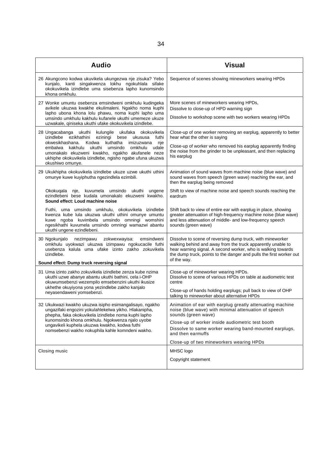| <b>Audio</b>                                                                                                                                                                                                                                                                                                                                              | <b>Visual</b>                                                                                                                                                                                                                                                                   |
|-----------------------------------------------------------------------------------------------------------------------------------------------------------------------------------------------------------------------------------------------------------------------------------------------------------------------------------------------------------|---------------------------------------------------------------------------------------------------------------------------------------------------------------------------------------------------------------------------------------------------------------------------------|
| 26 Akungcono kodwa ukuvikela ukungezwa nje zisuka? Yebo<br>kunjalo, kanti singakwenza lokhu ngokuhlala sifake<br>okokuvikela izindlebe uma sisebenza lapho kunomsindo<br>khona omkhulu.                                                                                                                                                                   | Sequence of scenes showing mineworkers wearing HPDs                                                                                                                                                                                                                             |
| 27 Wonke umuntu osebenza emsindweni omkhulu kudingeka<br>avikele ukuzwa kwakhe ekulimaleni. Ngakho noma kuphi<br>lapho ubona khona lolu phawu, noma kuphi lapho uma<br>umsindo umkhulu kakhulu kufanele ukuthi umemeze ukuze<br>uzwakale, qiniseka ukuthi ufake okokuvikela izindlebe.                                                                    | More scenes of mineworkers wearing HPDs,<br>Dissolve to close-up of HPD warning sign<br>Dissolve to workshop scene with two workers wearing HPDs                                                                                                                                |
| 28 Ungacabanga ukuthi kulungile ukufaka okokuvikela<br>izindlebe ezikhathini eziningi bese<br>futhi<br>ukususa<br>okwesikhashana. Kodwa<br>kuthatha imizuzwana<br>nje<br>embalwa kakhulu ukuthi umsindo omkhulu udale<br>umonakalo ekuzweni kwakho, ngakho akufanele neze<br>ukhiphe okokuvikela izindlebe, ngisho ngabe ufuna ukuzwa<br>okushiwo omunye. | Close-up of one worker removing an earplug, apparently to better<br>hear what the other is saying<br>Close-up of worker who removed his earplug apparently finding<br>the noise from the grinder to be unpleasant, and then replacing<br>his earplug                            |
| 29 Ukukhipha okokuvikela izindlebe ukuze uzwe ukuthi uthini<br>omunye kuwe kuyiphutha ngezindlela ezimbili.                                                                                                                                                                                                                                               | Animation of sound waves from machine noise (blue wave) and<br>sound waves from speech (green wave) reaching the ear, and<br>then the earplug being removed                                                                                                                     |
| Okokuqala nje,<br>kuvumela umsindo ukuthi ungene<br>ezindlebeni bese kudala umonakalo ekuzweni kwakho.<br>Sound effect: Loud machine noise                                                                                                                                                                                                                | Shift to view of machine noise and speech sounds reaching the<br>eardrum                                                                                                                                                                                                        |
| Futhi, uma umsindo umkhulu, okokuvikela izindlebe<br>kwenza kube lula ukuzwa ukuthi uthini omunye umuntu<br>kuwe ngoba kuvimbela umsindo omningi womshini<br>ngesikhathi kuvumela umsindo omningi wamazwi abantu<br>ukuthi ungene ezindlebeni.                                                                                                            | Shift back to view of entire ear with earplug in place, showing<br>greater attenuation of high-frequency machine noise (blue wave)<br>and less attenuation of middle- and low-frequency speech<br>sounds (green wave)                                                           |
| 30 Ngokunjalo<br>nezimpawu<br>zokwexwayisa:<br>emsindweni<br>omkhulu uyokwazi ukuzwa izimpawu ngokucacile futhi<br>usebenza kalula uma ufake izinto zakho zokuvikela<br>izindlebe.                                                                                                                                                                        | Dissolve to scene of reversing dump truck, with mineworker<br>walking behind and away from the truck apparently unable to<br>hear warning signal. A second worker, who is walking towards<br>the dump truck, points to the danger and pulls the first worker out<br>of the way. |
| Sound effect: Dump truck reversing signal                                                                                                                                                                                                                                                                                                                 |                                                                                                                                                                                                                                                                                 |
| 31 Uma izinto zakho zokuvikela izindlebe zenza kube nzima<br>ukuthi uzwe abanye abantu ukuthi bathini, cela i-OHP<br>okuwumsebenzi wezempilo emsebenzini ukuthi ikusize<br>ukhethe okuyiyona yona yezindlebe zakho kanjalo                                                                                                                                | Close-up of mineworker wearing HPDs.<br>Dissolve to scene of various HPDs on table at audiometric test<br>centre                                                                                                                                                                |
| neyasendaweni yomsebenzi.                                                                                                                                                                                                                                                                                                                                 | Close-up of hands holding earplugs; pull back to view of OHP<br>talking to mineworker about alternative HPDs                                                                                                                                                                    |
| 32 Ukukwazi kwakho ukuzwa isipho esimangalisayo, ngakho<br>ungazifaki engozini yokulahlekelwa yikho. Hlakanipha,<br>phepha, faka okokuvikela izindlebe noma kuphi lapho<br>kunomsindo khona omkhulu. Ngokwenza njalo uyobe<br>ungavikeli kuphela ukuzwa kwakho, kodwa futhi<br>nomsebenzi wakho nokuphila kahle komndeni wakho.                           | Animation of ear with earplug greatly attenuating machine<br>noise (blue wave) with minimal attenuation of speech<br>sounds (green wave)<br>Close-up of worker inside audiometric test booth<br>Dissolve to same worker wearing band-mounted earplugs,<br>and then earmuffs     |
|                                                                                                                                                                                                                                                                                                                                                           | Close-up of two mineworkers wearing HPDs                                                                                                                                                                                                                                        |
| Closing music                                                                                                                                                                                                                                                                                                                                             | MHSC logo                                                                                                                                                                                                                                                                       |
|                                                                                                                                                                                                                                                                                                                                                           | Copyright statement                                                                                                                                                                                                                                                             |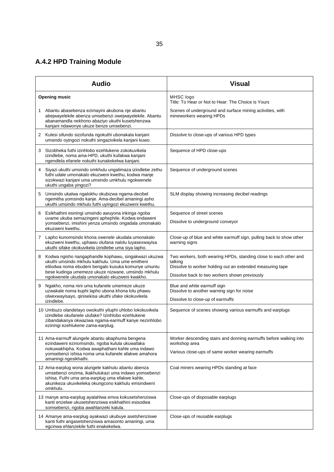# **A.4.2 HPD Training Module**

| <b>Audio</b>                                                                                                                                                                                                                                                               | <b>Visual</b>                                                                                                                                                                             |
|----------------------------------------------------------------------------------------------------------------------------------------------------------------------------------------------------------------------------------------------------------------------------|-------------------------------------------------------------------------------------------------------------------------------------------------------------------------------------------|
| <b>Opening music</b>                                                                                                                                                                                                                                                       | MHSC logo<br>Title: To Hear or Not to Hear: The Choice is Yours                                                                                                                           |
| Abantu abasebenza ezimayini akubona nje abantu<br>1<br>abejwayelekile abenza umsebenzi owejwayelekile. Abantu<br>abanamandla nekhono abaziyo ukuthi kusetshenzwa<br>kanjani ndawonye ukuze benze umsebenzi.                                                                | Scenes of underground and surface mining activities, with<br>mineworkers wearing HPDs                                                                                                     |
| Kulesi sifundo sizofunda ngokuthi ubonakala kanjani<br>2<br>umsindo oyingozi nokuthi singazivikela kanjani kuwo.                                                                                                                                                           | Dissolve to close-ups of various HPD types                                                                                                                                                |
| Sizobheka futhi izinhlobo ezehlukene zokokuvikela<br>3<br>izindlebe, noma ama-HPD, ukuthi kufakwa kanjani<br>ngendlela efanele nokuthi kunakekelwa kanjani.                                                                                                                | Sequence of HPD close-ups                                                                                                                                                                 |
| 4 Siyazi ukuthi umsindo omkhulu ungalimaza izindlebe zethu<br>futhi udale umonakalo ekuzweni kwethu, kodwa manje<br>sizokwazi kanjani uma umsindo umkhulu ngokwenele<br>ukuthi ungaba yingozi?                                                                             | Sequence of underground scenes                                                                                                                                                            |
| Umsindo ukalwa ngalokhu okubizwa ngama-decibel<br>5<br>ngemitha yomsindo kanje. Ama-decibel amaningi asho<br>ukuthi umsindo mkhulu futhi uyingozi ekuzweni kwethu.                                                                                                         | SLM display showing increasing decibel readings                                                                                                                                           |
| Esikhathini esiningi umsindo awuyona inkinga ngoba<br>6<br>uvame ukuba semazingeni aphephile. Kodwa endaweni<br>yomsebenzi, imishini yenza umsindo ongadala umonakalo<br>ekuzweni kwethu.                                                                                  | Sequence of street scenes<br>Dissolve to underground conveyor                                                                                                                             |
| 7 Lapho kunomsindo khona owenele ukudala umonakalo<br>ekuzweni kwethu, uphawu olufana nalolu luyasexwayisa<br>ukuthi sifake okokuvikela izindlebe uma siya lapho.                                                                                                          | Close-up of blue and white earmuff sign, pulling back to show other<br>warning signs                                                                                                      |
| Kodwa ngisho nangaphandle kophawu, singakwazi ukuzwa<br>8<br>ukuthi umsindo mkhulu kakhulu. Uma ume emitheni<br>elilodwa noma ebudeni bengalo kusuka komunye umuntu<br>bese kudinga umemeze ukuze nizwane, umsindo mkhulu<br>ngokwenele ukudala umonakalo ekuzweni kwakho. | Two workers, both wearing HPDs, standing close to each other and<br>talking<br>Dissolve to worker holding out an extended measuring tape<br>Dissolve back to two workers shown previously |
| Ngakho, noma nini uma kufanele umemeze ukuze<br>9<br>uzwakale noma kuphi lapho ubona khona lolu phawu<br>olwexwayisayo, qinisekisa ukuthi ufake okokuvikela<br>izindlebe.                                                                                                  | Blue and white earmuff sign<br>Dissolve to another warning sign for noise<br>Dissolve to close-up of earmuffs                                                                             |
| 10 Umbuzo olandelayo owokuthi yiluphi uhlobo lokokuvikela<br>izindlebe okufanele ulufake? Izinhlobo ezehlukene<br>zibandakanya okwaziwa ngama-earmuff kanye nezinhlobo<br>eziningi ezehlukene zama-earplug.                                                                | Sequence of scenes showing various earmuffs and earplugs                                                                                                                                  |
| 11 Ama-earmuff alungele abantu abaphuma bengena<br>ezindaweni ezinomsindo, ngoba kulula ukuwafaka<br>nokuwakhipha. Kodwa awaphathani kahle uma indawo                                                                                                                      | Worker descending stairs and donning earmuffs before walking into<br>workshop area                                                                                                        |
| yomsebenzi ishisa noma uma kufanele afakwe amahora<br>amaningi ngesikhathi.                                                                                                                                                                                                | Various close-ups of same worker wearing earmuffs                                                                                                                                         |
| 12 Ama-earplug wona alungele kakhulu abantu abenza<br>umsebenzi onzima, ikakhulukazi uma indawo yomsebenzi<br>ishisa. Futhi uma ama-earplug uma efakwe kahle,<br>akunikeza ukuvikeleka okungcono kakhulu emsindweni<br>omkhulu.                                            | Coal miners wearing HPDs standing at face                                                                                                                                                 |
| 13 manye ama-earplug ayalahlwa emva kokusetshenziswa<br>kanti enzelwe ukusetshenziswa esikhathini esisodwa<br>somsebenzi, ngoba awahlanzeki kalula.                                                                                                                        | Close-ups of disposable earplugs                                                                                                                                                          |
| 14 Amanye ama-earplug ayakwazi ukubuye asetshenziswe<br>kanti futhi angasetshenziswa amasonto amaningi, uma<br>egcinwa ehlanzekile futhi enakekelwa.                                                                                                                       | Close-ups of reusable earplugs                                                                                                                                                            |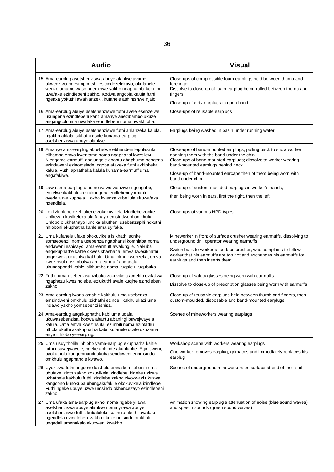| <b>Audio</b>                                                                                                                                                                                                                                                                                                                                                                   | <b>Visual</b>                                                                                                                                                                                                                                                                                           |
|--------------------------------------------------------------------------------------------------------------------------------------------------------------------------------------------------------------------------------------------------------------------------------------------------------------------------------------------------------------------------------|---------------------------------------------------------------------------------------------------------------------------------------------------------------------------------------------------------------------------------------------------------------------------------------------------------|
| 15 Ama-earplug asetshenziswa abuye alahlwe avame<br>ukwenziwa ngesimpontshi esicindezelekayo, okufanele<br>wenze umumo waso ngeminwe yakho ngaphambi kokuthi<br>uwafake ezindlebeni zakho. Kodwa angcola kalula futhi,<br>ngenxa yokuthi awahlanzeki, kufanele ashintshwe njalo.                                                                                               | Close-ups of compressible foam earplugs held between thumb and<br>forefinger<br>Dissolve to close-up of foam earplug being rolled between thumb and<br>fingers<br>Close-up of dirty earplugs in open hand                                                                                               |
| 16 Ama-earplug abuye asetshenziswe futhi avele esenzelwe<br>ukungena ezindlebeni kanti amanye anezibambo ukuze<br>angangcoli uma uwafaka ezindlebeni noma uwakhipha.                                                                                                                                                                                                           | Close-ups of reusable earplugs                                                                                                                                                                                                                                                                          |
| 17 Ama-earplug abuye asetshenziswe futhi ahlanzeka kalula,<br>ngakho ahlala isikhathi eside kunama-earplug<br>asetshenziswa abuye alahlwe.                                                                                                                                                                                                                                     | Earplugs being washed in basin under running water                                                                                                                                                                                                                                                      |
| 18 Amanye ama-earplug aboshelwe ebhandeni lepulasitiki,<br>elihamba emva kwentamo noma ngaphansi kwesilevu.<br>Njengama-earmuff, abalungele abantu abaphuma bengena<br>ezindaweni ezinomsindo, ngoba afakeka futhi akhipheka<br>kalula. Futhi aphatheka kalula kunama-earmuff uma<br>engafakiwe.                                                                               | Close-ups of band-mounted earplugs, pulling back to show worker<br>donning them with the band under the chin<br>Close-ups of band-mounted earplugs; dissolve to worker wearing<br>band-mounted earplugs behind neck<br>Close-up of band-mounted earcaps then of them being worn with<br>band under chin |
| 19 Lawa ama-earplug umumo wawo wenziwe ngengubo,<br>enzelwe ikakhulukazi ukungena endlebeni yomuntu<br>oyedwa nje kuphela. Lokho kwenza kube lula ukuwafaka<br>ngendlela.                                                                                                                                                                                                      | Close-up of custom-moulded earplugs in worker's hands,<br>then being worn in ears, first the right, then the left                                                                                                                                                                                       |
| 20 Lezi zinhlobo ezehlukene zokokuvikela izindlebe zonke<br>zinikeza ukuvikeleka okufanayo emsindweni omkhulu.<br>Uhlobo olukhethayo luncika ekutheni usebenzaphi nokuthi<br>nhloboni ekuphatha kahle uma uyifaka.                                                                                                                                                             | Close-ups of various HPD types                                                                                                                                                                                                                                                                          |
| 21 Uma kufanele ufake okokuvikela isikhathi sonke<br>somsebenzi, noma usebenza ngaphansi komhlaba noma<br>endaweni eshisayo, ama-earmuff awalungile. Nakuba<br>engekuphathe kahle okwesikhashana, emva kwesikhathi<br>ungezwela ukushisa kakhulu. Uma lokhu kwenzeka, emva<br>kwezinsuku ezimbalwa ama-earmuff angaqala<br>ukungaphathi kahle isikhumba noma kuqale ukuqubuka. | Mineworker in front of surface crusher wearing earmuffs, dissolving to<br>underground drill operator wearing earmuffs<br>Switch back to worker at surface crusher, who complains to fellow<br>worker that his earmuffs are too hot and exchanges his earmuffs for<br>earplugs and then inserts them     |
| 22 Futhi, uma usebenzisa izibuko zokuvikela amehlo ezifakwa<br>ngaphezu kwezindlebe, eziukuthi avale kuqine ezindlebeni<br>zakho.                                                                                                                                                                                                                                              | Close-up of safety glasses being worn with earmuffs<br>Dissolve to close-up of prescription glasses being worn with earmuffs                                                                                                                                                                            |
| 23 Ama-earplug iwona amahle kakhulu uma usebenza<br>emsindweni omkhulu izikhathi ezinde, ikakhulukazi uma<br>indawo yakho yomsebenzi ishisa.                                                                                                                                                                                                                                   | Close-up of reusable earplugs held between thumb and fingers, then<br>custom-moulded, disposable and band-mounted earplugs                                                                                                                                                                              |
| 24 Ama-earplug angakuphatha kabi uma ugala<br>ukuwasebenzisa, kodwa abantu abaningi bawejwayela<br>kalula. Uma emva kwezinsuku ezimbili noma ezintathu<br>uthola ukuthi asakuphatha kabi, kufanele ucele ukuzama<br>enye inhlobo ye-earplug.                                                                                                                                   | Scenes of mineworkers wearing earplugs                                                                                                                                                                                                                                                                  |
| 25 Uma usuyitholile inhlobo yama-earplug ekuphatha kahle<br>futhi usuwejwayele, ngeke aphinde akuhluphe. Eqinisweni,<br>uyokuthola kungemnandi ukuba sendaweni enomsindo<br>omkhulu ngaphandle kwawo.                                                                                                                                                                          | Workshop scene with workers wearing earplugs<br>One worker removes earplug, grimaces and immediately replaces his<br>earplug                                                                                                                                                                            |
| 26 Uyozizwa futhi ungcono kakhulu emva komsebenzi uma<br>ubufake izinto zakho zokuvikela izindlebe. Ngeke uzizwe<br>ukhathele kakhulu futhi izindlebe zakho ziyokwazi ukuzwa<br>kangcono kunokuba ubungakufakile okokuvikela izindlebe.<br>Futhi ngeke ubuye uzwe umsindo okhencezayo ezindlebeni<br>zakho.                                                                    | Scenes of underground mineworkers on surface at end of their shift                                                                                                                                                                                                                                      |
| 27 Uma ufaka ama-earplug akho, noma ngabe yilawa<br>asetshenziswa abuye alahlwe noma yilawa abuye<br>asetshenziswe futhi, kubaluleke kakhulu ukuthi uwafake<br>ngendlela ezindlebeni zakho ukuze umsindo omkhulu<br>ungadali umonakalo ekuzweni kwakho.                                                                                                                        | Animation showing earplug's attenuation of noise (blue sound waves)<br>and speech sounds (green sound waves)                                                                                                                                                                                            |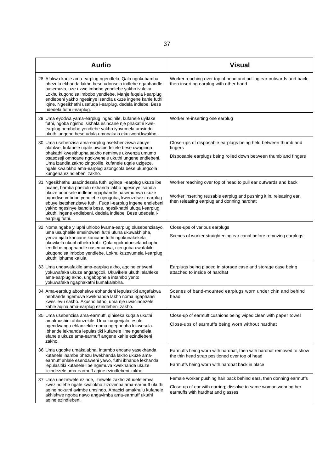| <b>Audio</b>                                                                                                                                                                                                                                                                                                                                                                                                                               | <b>Visual</b>                                                                                                                                                                       |
|--------------------------------------------------------------------------------------------------------------------------------------------------------------------------------------------------------------------------------------------------------------------------------------------------------------------------------------------------------------------------------------------------------------------------------------------|-------------------------------------------------------------------------------------------------------------------------------------------------------------------------------------|
| 28 Afakwa kanje ama-earplug ngendlela, Qala ngokubamba<br>phezulu ekhanda lakho bese udonsela indlebe ngaphandle<br>nasemuva, uze uzwe imbobo yendlebe yakho ivuleka.<br>Lokhu kuqondisa imbobo yendlebe. Manje fuqela i-earplug<br>endlebeni yakho ngesinye isandla ukuze ingene kahle futhi<br>iqine. Ngesikhathi usafuqa i-earplug, dedela indlebe. Bese<br>udedela futhi i-earplug.                                                    | Worker reaching over top of head and pulling ear outwards and back,<br>then inserting earplug with other hand                                                                       |
| 29 Uma eyodwa yama-earplug ingaqinile, kufanele uyifake<br>futhi, ngoba ngisho isikhala esincane nje phakathi kwe-<br>earplug nembobo yendlebe yakho iyovumela umsindo<br>ukuthi ungene bese udala umonakalo ekuzweni kwakho.                                                                                                                                                                                                              | Worker re-inserting one earplug                                                                                                                                                     |
| 30 Uma usebenzisa ama-earplug asetshenziswa abuye<br>alahlwe, kufanele ugale uwacindezele bese uwaginga<br>phakathi kwesithupha sakho neminwe ukwenza umumo<br>osasoseji omncane ngokwenele ukuthi ungene endlebeni.<br>Uma izandla zakho zingcolile, kufanele uqale uzigeze,<br>ngale kwalokho ama-earplug azongcola bese ukungcola<br>kungena ezindlebeni zakho.                                                                         | Close-ups of disposable earplugs being held between thumb and<br>fingers<br>Disposable earplugs being rolled down between thumb and fingers                                         |
| 31 Ngesikhathu usacindezela futhi uginga i-earplug ukuze ibe<br>ncane, bamba phezulu ekhanda lakho ngesinye isandla<br>ukuze udonsele indlebe ngaphandle nasemumva ukuze<br>uqondise imbobo yendlebe njengoba, kwenzelwe i-earplug<br>ebuye isetshenziswe futhi. Fuqa i-earplug ingene endlebeni<br>yakho ngesinye isandla bese, ngesikhathi ufuqa i-earplug<br>ukuthi ingene endlebeni, dedela indlebe. Bese udedela i-<br>earplug futhi. | Worker reaching over top of head to pull ear outwards and back<br>Worker inserting reusable earplug and pushing it in, releasing ear,<br>then releasing earplug and donning hardhat |
| 32 Noma ngabe yiluphi uhlobo lwama-earplug olusebenzisayo,<br>uma usughelile emsindweni futhi ufuna ukuwakhipha,<br>yenza njalo kancane kancane futhi ngokunakekela<br>ukuvikela ukuphatheka kabi. Qala ngokudonsela ichopho<br>lendlebe ngaphandle nasemumva, njengoba uwafakile<br>ukuqondisa imbobo yendlebe. Lokhu kuzovumela i-earplug<br>ukuthi iphume kalula.                                                                       | Close-ups of various earplugs<br>Scenes of worker straightening ear canal before removing earplugs                                                                                  |
| 33 Uma ungawafakile ama-earplug akho, agcine entweni<br>yokuwafaka ukuze angangcoli. Ukuvikela ukuthi alahleke<br>ama-earplug akho, ungabophela intambo yento<br>yokuwafaka ngaphakathi kumakalabha.                                                                                                                                                                                                                                       | Earplugs being placed in storage case and storage case being<br>attached to inside of hardhat                                                                                       |
| 34 Ama-earplug aboshelwe ebhandeni lepulasitiki angafakwa<br>nebhande ngemuva kwekhanda lakho noma ngaphansi<br>kwesilevu sakho. Akusho lutho, uma nje uwacindezele<br>kahle aqina ama-earplug ezindlebeni zakho.                                                                                                                                                                                                                          | Scenes of band-mounted earplugs worn under chin and behind<br>head                                                                                                                  |
| 35 Uma usebenzisa ama-earmuff, qiniseka kuqala ukuthi<br>amakhushini ahlanzekile. Uma kungenjalo, esule<br>ngendwangu ehlanzekile noma ngephepha lokwesula.<br>Ibhande lekhanda lepulasitiki kufanele lime ngendlela<br>efanele ukuze ama-earmuff angene kahle ezindlebeni<br>zakho.                                                                                                                                                       | Close-up of earmuff cushions being wiped clean with paper towel<br>Close-ups of earmuffs being worn without hardhat                                                                 |
| 36 Uma ugqoke umakalabha, intambo encane yasekhanda<br>kufanele ihambe phezu kwekhanda lakho ukuze ama-<br>earmuff ahlale esendaweni yawo, futhi ibhande lekhanda<br>lepulasitiki kufanele libe ngemuva kwekhanda ukuze<br>licindezele ama-earmuff aqine ezindlebeni zakho.                                                                                                                                                                | Earmuffs being worn with hardhat, then with hardhat removed to show<br>the thin head strap positioned over top of head<br>Earmuffs being worn with hardhat back in place            |
| 37 Uma unezinwele ezinde, izinwele zakho zifuqele emva<br>kwezindlebe ngale kwalokho zizovimba ama-earmuff ukuthi<br>aqine nokuthi avimbe umsindo. Amacici amakhulu kufanele<br>akhishwe ngoba nawo angavimba ama-earmuff ukuthi<br>aqine ezindlebeni.                                                                                                                                                                                     | Female worker pushing hair back behind ears, then donning earmuffs<br>Close-up of ear with earring; dissolve to same woman wearing her<br>earmuffs with hardhat and glasses         |